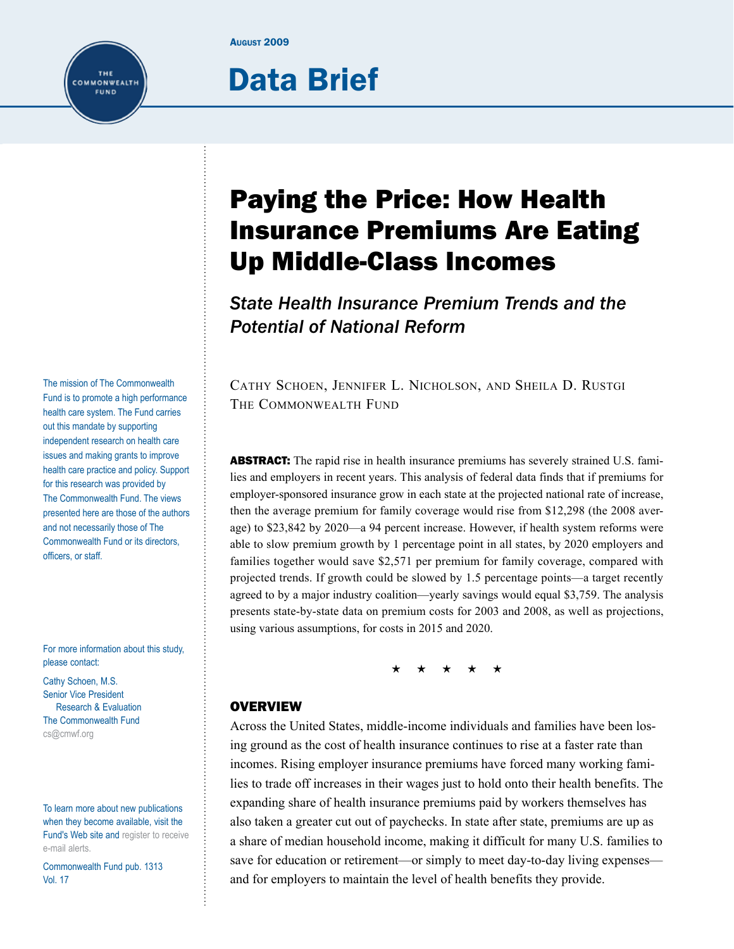#### **August 2009**

# Data Brief

Paying the Price: How Health Insurance Premiums Are Eating Up Middle-Class Incomes

*State Health Insurance Premium Trends and the Potential of National Reform*

Cathy Schoen, Jennifer L. Nicholson, and Sheila D. Rustgi The Commonwealth Fund

**ABSTRACT:** The rapid rise in health insurance premiums has severely strained U.S. families and employers in recent years. This analysis of federal data finds that if premiums for employer-sponsored insurance grow in each state at the projected national rate of increase, then the average premium for family coverage would rise from \$12,298 (the 2008 average) to \$23,842 by 2020—a 94 percent increase. However, if health system reforms were able to slow premium growth by 1 percentage point in all states, by 2020 employers and families together would save \$2,571 per premium for family coverage, compared with projected trends. If growth could be slowed by 1.5 percentage points—a target recently agreed to by a major industry coalition—yearly savings would equal \$3,759. The analysis presents state-by-state data on premium costs for 2003 and 2008, as well as projections, using various assumptions, for costs in 2015 and 2020.

 $\star$   $\star$ 

### **OVERVIEW**

Across the United States, middle-income individuals and families have been losing ground as the cost of health insurance continues to rise at a faster rate than incomes. Rising employer insurance premiums have forced many working families to trade off increases in their wages just to hold onto their health benefits. The expanding share of health insurance premiums paid by workers themselves has also taken a greater cut out of paychecks. In state after state, premiums are up as a share of median household income, making it difficult for many U.S. families to save for education or retirement—or simply to meet day-to-day living expenses and for employers to maintain the level of health benefits they provide.

The mission of The Commonwealth Fund is to promote a high performance health care system. The Fund carries out this mandate by supporting independent research on health care issues and making grants to improve health care practice and policy. Support for this research was provided by The Commonwealth Fund. The views presented here are those of the authors and not necessarily those of The Commonwealth Fund or its directors, officers, or staff.

THE COMMONWEALTH FUND

For more information about this study, please contact:

Cathy Schoen, M.S. Senior Vice President Research & Evaluation The Commonwealth Fund [cs@cmwf.org](mailto:cs@cmwf.org)

To learn more about new publications when they become available, visit the Fund's Web site and [register to receive](http://www.commonwealthfund.org/myprofile/myprofile_edit.htm)  [e-mail alerts](http://www.commonwealthfund.org/myprofile/myprofile_edit.htm).

Commonwealth Fund pub. 1313 Vol. 17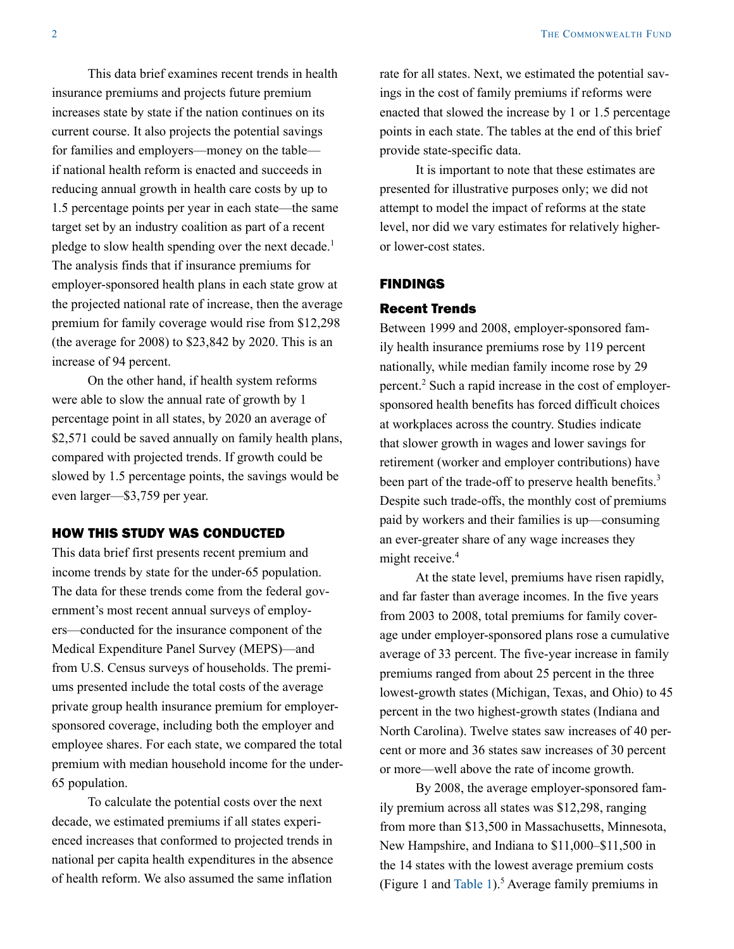This data brief examines recent trends in health insurance premiums and projects future premium increases state by state if the nation continues on its current course. It also projects the potential savings for families and employers—money on the table if national health reform is enacted and succeeds in reducing annual growth in health care costs by up to 1.5 percentage points per year in each state—the same target set by an industry coalition as part of a recent pledge to slow health spending over the next decade.<sup>1</sup> The analysis finds that if insurance premiums for employer-sponsored health plans in each state grow at the projected national rate of increase, then the average premium for family coverage would rise from \$12,298 (the average for 2008) to \$23,842 by 2020. This is an increase of 94 percent.

On the other hand, if health system reforms were able to slow the annual rate of growth by 1 percentage point in all states, by 2020 an average of \$2,571 could be saved annually on family health plans, compared with projected trends. If growth could be slowed by 1.5 percentage points, the savings would be even larger—\$3,759 per year.

# HOW THIS STUDY WAS CONDUCTED

This data brief first presents recent premium and income trends by state for the under-65 population. The data for these trends come from the federal government's most recent annual surveys of employers—conducted for the insurance component of the Medical Expenditure Panel Survey (MEPS)—and from U.S. Census surveys of households. The premiums presented include the total costs of the average private group health insurance premium for employersponsored coverage, including both the employer and employee shares. For each state, we compared the total premium with median household income for the under-65 population.

To calculate the potential costs over the next decade, we estimated premiums if all states experienced increases that conformed to projected trends in national per capita health expenditures in the absence of health reform. We also assumed the same inflation

rate for all states. Next, we estimated the potential savings in the cost of family premiums if reforms were enacted that slowed the increase by 1 or 1.5 percentage points in each state. The tables at the end of this brief provide state-specific data.

It is important to note that these estimates are presented for illustrative purposes only; we did not attempt to model the impact of reforms at the state level, nor did we vary estimates for relatively higheror lower-cost states.

### FINDINGS

### Recent Trends

Between 1999 and 2008, employer-sponsored family health insurance premiums rose by 119 percent nationally, while median family income rose by 29 percent.<sup>2</sup> Such a rapid increase in the cost of employersponsored health benefits has forced difficult choices at workplaces across the country. Studies indicate that slower growth in wages and lower savings for retirement (worker and employer contributions) have been part of the trade-off to preserve health benefits.<sup>3</sup> Despite such trade-offs, the monthly cost of premiums paid by workers and their families is up—consuming an ever-greater share of any wage increases they might receive.<sup>4</sup>

At the state level, premiums have risen rapidly, and far faster than average incomes. In the five years from 2003 to 2008, total premiums for family coverage under employer-sponsored plans rose a cumulative average of 33 percent. The five-year increase in family premiums ranged from about 25 percent in the three lowest-growth states (Michigan, Texas, and Ohio) to 45 percent in the two highest-growth states (Indiana and North Carolina). Twelve states saw increases of 40 percent or more and 36 states saw increases of 30 percent or more—well above the rate of income growth.

By 2008, the average employer-sponsored family premium across all states was \$12,298, ranging from more than \$13,500 in Massachusetts, Minnesota, New Hampshire, and Indiana to \$11,000–\$11,500 in the 14 states with the lowest average premium costs (Figure 1 and Table  $1$ ).<sup>5</sup> Average family premiums in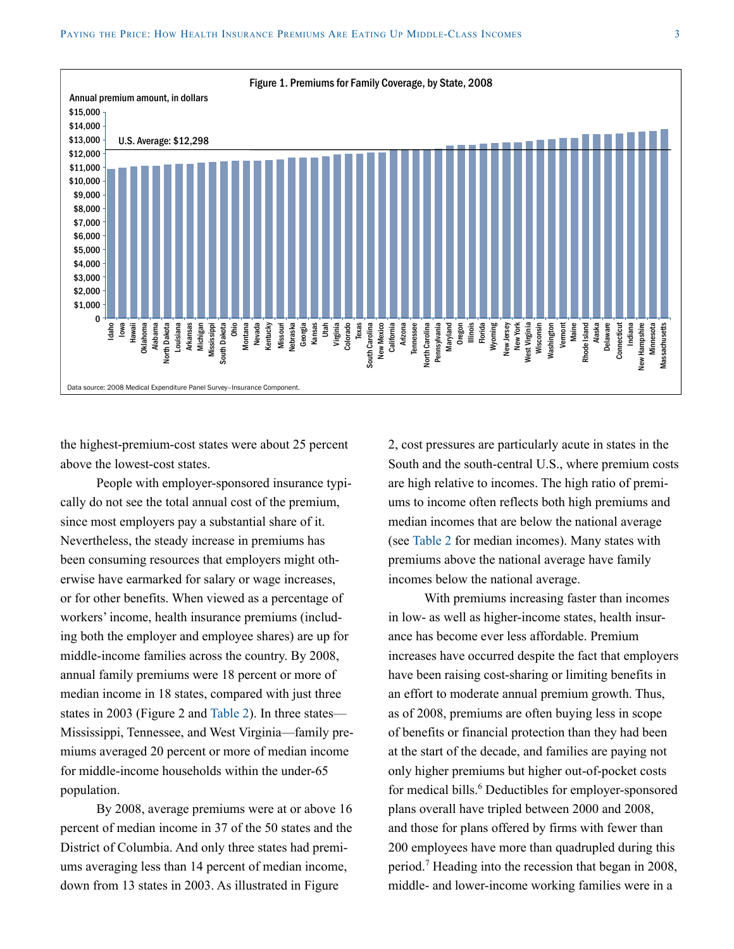

the highest-premium-cost states were about 25 percent above the lowest-cost states.

People with employer-sponsored insurance typically do not see the total annual cost of the premium, since most employers pay a substantial share of it. Nevertheless, the steady increase in premiums has been consuming resources that employers might otherwise have earmarked for salary or wage increases, or for other benefits. When viewed as a percentage of workers' income, health insurance premiums (including both the employer and employee shares) are up for middle-income families across the country. By 2008, annual family premiums were 18 percent or more of median income in 18 states, compared with just three states in 2003 (Figure 2 and [Table](#page-9-0) 2). In three states— Mississippi, Tennessee, and West Virginia—family premiums averaged 20 percent or more of median income for middle-income households within the under-65 population.

By 2008, average premiums were at or above 16 percent of median income in 37 of the 50 states and the District of Columbia. And only three states had premiums averaging less than 14 percent of median income, down from 13 states in 2003. As illustrated in Figure

2, cost pressures are particularly acute in states in the South and the south-central U.S., where premium costs are high relative to incomes. The high ratio of premiums to income often reflects both high premiums and median incomes that are below the national average (see [Table](#page-9-0) 2 for median incomes). Many states with premiums above the national average have family incomes below the national average.

With premiums increasing faster than incomes in low- as well as higher-income states, health insurance has become ever less affordable. Premium increases have occurred despite the fact that employers have been raising cost-sharing or limiting benefits in an effort to moderate annual premium growth. Thus, as of 2008, premiums are often buying less in scope of benefits or financial protection than they had been at the start of the decade, and families are paying not only higher premiums but higher out-of-pocket costs for medical bills.<sup>6</sup> Deductibles for employer-sponsored plans overall have tripled between 2000 and 2008, and those for plans offered by firms with fewer than 200 employees have more than quadrupled during this period.7 Heading into the recession that began in 2008, middle- and lower-income working families were in a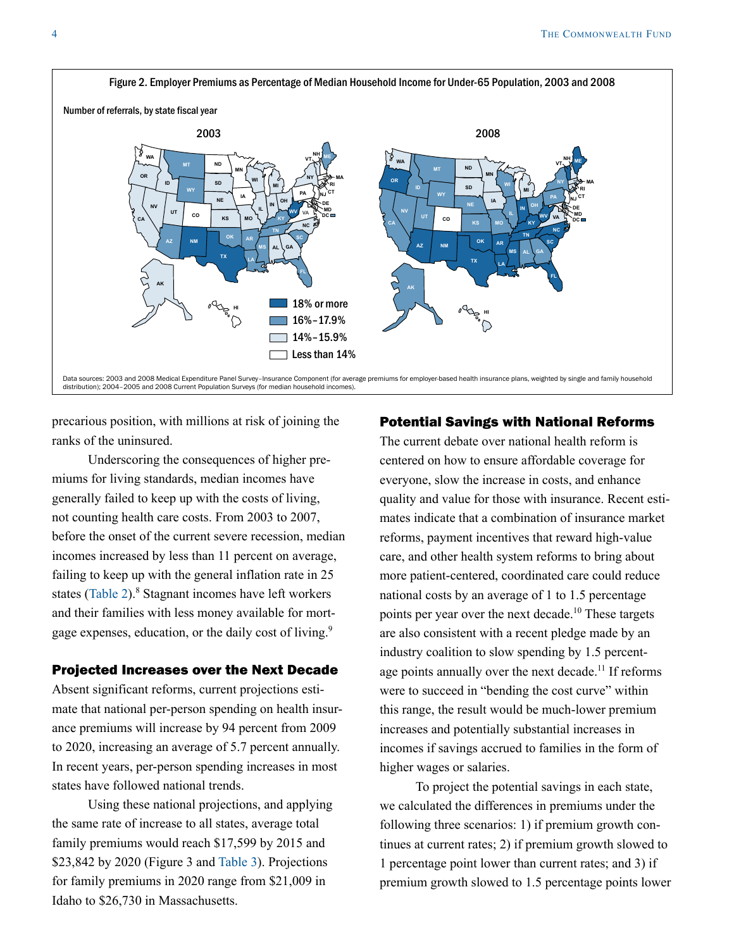

precarious position, with millions at risk of joining the ranks of the uninsured.

Underscoring the consequences of higher premiums for living standards, median incomes have generally failed to keep up with the costs of living, not counting health care costs. From 2003 to 2007, before the onset of the current severe recession, median incomes increased by less than 11 percent on average, failing to keep up with the general inflation rate in 25 states [\(Table](#page-9-0) 2).<sup>8</sup> Stagnant incomes have left workers and their families with less money available for mortgage expenses, education, or the daily cost of living.<sup>9</sup>

### Projected Increases over the Next Decade

Absent significant reforms, current projections estimate that national per-person spending on health insurance premiums will increase by 94 percent from 2009 to 2020, increasing an average of 5.7 percent annually. In recent years, per-person spending increases in most states have followed national trends.

Using these national projections, and applying the same rate of increase to all states, average total family premiums would reach \$17,599 by 2015 and \$23,842 by 2020 (Figure 3 and [Table](#page-11-0) 3). Projections for family premiums in 2020 range from \$21,009 in Idaho to \$26,730 in Massachusetts.

### Potential Savings with National Reforms

The current debate over national health reform is centered on how to ensure affordable coverage for everyone, slow the increase in costs, and enhance quality and value for those with insurance. Recent estimates indicate that a combination of insurance market reforms, payment incentives that reward high-value care, and other health system reforms to bring about more patient-centered, coordinated care could reduce national costs by an average of 1 to 1.5 percentage points per year over the next decade.10 These targets are also consistent with a recent pledge made by an industry coalition to slow spending by 1.5 percentage points annually over the next decade.<sup>11</sup> If reforms were to succeed in "bending the cost curve" within this range, the result would be much-lower premium increases and potentially substantial increases in incomes if savings accrued to families in the form of higher wages or salaries.

To project the potential savings in each state, we calculated the differences in premiums under the following three scenarios: 1) if premium growth continues at current rates; 2) if premium growth slowed to 1 percentage point lower than current rates; and 3) if premium growth slowed to 1.5 percentage points lower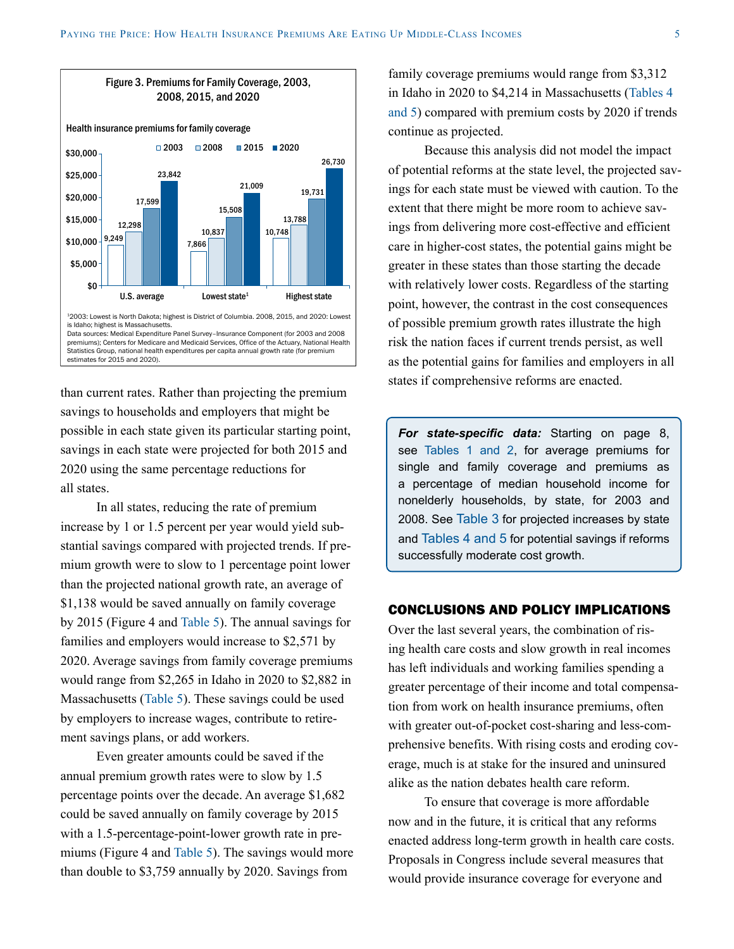

than current rates. Rather than projecting the premium savings to households and employers that might be possible in each state given its particular starting point, savings in each state were projected for both 2015 and 2020 using the same percentage reductions for all states.

In all states, reducing the rate of premium increase by 1 or 1.5 percent per year would yield substantial savings compared with projected trends. If premium growth were to slow to 1 percentage point lower than the projected national growth rate, an average of \$1,138 would be saved annually on family coverage by 2015 (Figure 4 and [Table 5](#page-15-0)). The annual savings for families and employers would increase to \$2,571 by 2020. Average savings from family coverage premiums would range from \$2,265 in Idaho in 2020 to \$2,882 in Massachusetts [\(Table 5\)](#page-15-0). These savings could be used by employers to increase wages, contribute to retirement savings plans, or add workers.

Even greater amounts could be saved if the annual premium growth rates were to slow by 1.5 percentage points over the decade. An average \$1,682 could be saved annually on family coverage by 2015 with a 1.5-percentage-point-lower growth rate in premiums (Figure 4 and [Table 5](#page-15-0)). The savings would more than double to \$3,759 annually by 2020. Savings from

family coverage premiums would range from \$3,312 in Idaho in 2020 to \$4,214 in Massachusetts ([Tables 4](#page-13-0)  [and 5](#page-13-0)) compared with premium costs by 2020 if trends continue as projected.

Because this analysis did not model the impact of potential reforms at the state level, the projected savings for each state must be viewed with caution. To the extent that there might be more room to achieve savings from delivering more cost-effective and efficient care in higher-cost states, the potential gains might be greater in these states than those starting the decade with relatively lower costs. Regardless of the starting point, however, the contrast in the cost consequences of possible premium growth rates illustrate the high risk the nation faces if current trends persist, as well as the potential gains for families and employers in all states if comprehensive reforms are enacted.

*For state-specific data:* Starting on page 8, see [Tables 1 and 2,](#page-7-0) for average premiums for single and family coverage and premiums as a percentage of median household income for nonelderly households, by state, for 2003 and 2008. See [Table](#page-11-0) 3 for projected increases by state and [Tables 4 and 5](#page-13-0) for potential savings if reforms successfully moderate cost growth.

# CONCLUSIONS AND POLICY IMPLICATIONS

Over the last several years, the combination of rising health care costs and slow growth in real incomes has left individuals and working families spending a greater percentage of their income and total compensation from work on health insurance premiums, often with greater out-of-pocket cost-sharing and less-comprehensive benefits. With rising costs and eroding coverage, much is at stake for the insured and uninsured alike as the nation debates health care reform.

To ensure that coverage is more affordable now and in the future, it is critical that any reforms enacted address long-term growth in health care costs. Proposals in Congress include several measures that would provide insurance coverage for everyone and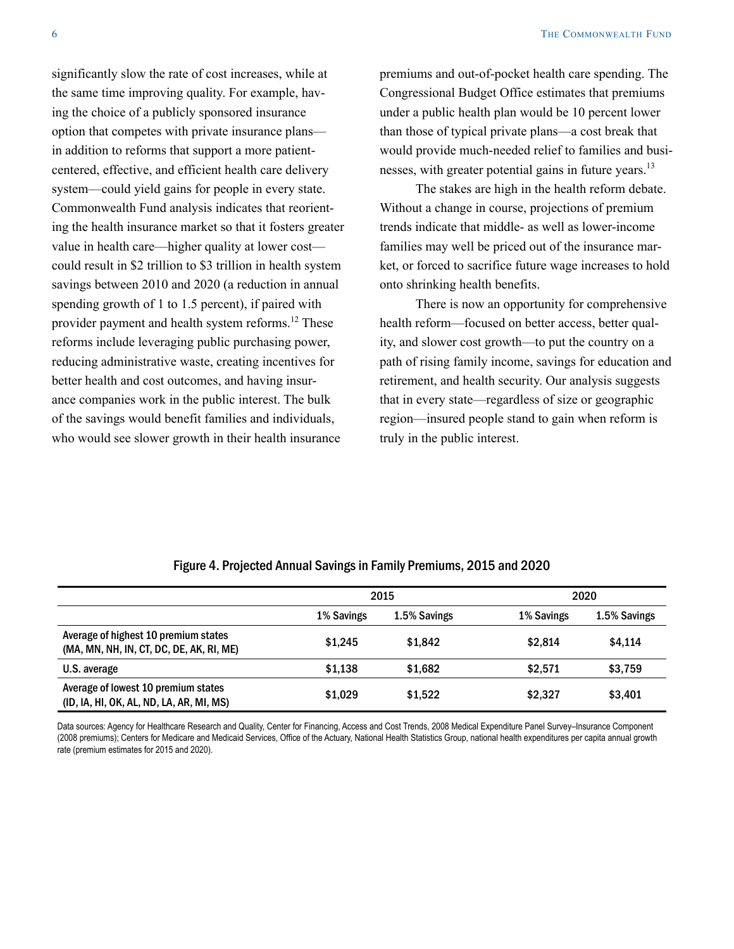significantly slow the rate of cost increases, while at the same time improving quality. For example, having the choice of a publicly sponsored insurance option that competes with private insurance plans in addition to reforms that support a more patientcentered, effective, and efficient health care delivery system—could yield gains for people in every state. Commonwealth Fund analysis indicates that reorienting the health insurance market so that it fosters greater value in health care—higher quality at lower cost could result in \$2 trillion to \$3 trillion in health system savings between 2010 and 2020 (a reduction in annual spending growth of 1 to 1.5 percent), if paired with provider payment and health system reforms.<sup>12</sup> These reforms include leveraging public purchasing power, reducing administrative waste, creating incentives for better health and cost outcomes, and having insurance companies work in the public interest. The bulk of the savings would benefit families and individuals, who would see slower growth in their health insurance

premiums and out-of-pocket health care spending. The Congressional Budget Office estimates that premiums under a public health plan would be 10 percent lower than those of typical private plans—a cost break that would provide much-needed relief to families and businesses, with greater potential gains in future years.<sup>13</sup>

The stakes are high in the health reform debate. Without a change in course, projections of premium trends indicate that middle- as well as lower-income families may well be priced out of the insurance market, or forced to sacrifice future wage increases to hold onto shrinking health benefits.

There is now an opportunity for comprehensive health reform—focused on better access, better quality, and slower cost growth—to put the country on a path of rising family income, savings for education and retirement, and health security. Our analysis suggests that in every state—regardless of size or geographic region—insured people stand to gain when reform is truly in the public interest.

|                                                                                  |            | 2015         |            | 2020         |
|----------------------------------------------------------------------------------|------------|--------------|------------|--------------|
|                                                                                  | 1% Savings | 1.5% Savings | 1% Savings | 1.5% Savings |
| Average of highest 10 premium states<br>(MA, MN, NH, IN, CT, DC, DE, AK, RI, ME) | \$1,245    | \$1,842      | \$2,814    | \$4,114      |
| U.S. average                                                                     | \$1.138    | \$1,682      | \$2,571    | \$3,759      |
| Average of lowest 10 premium states<br>(ID, IA, HI, OK, AL, ND, LA, AR, MI, MS)  | \$1,029    | \$1,522      | \$2.327    | \$3.401      |

### Figure 4. Projected Annual Savings in Family Premiums, 2015 and 2020

Data sources: Agency for Healthcare Research and Quality, Center for Financing, Access and Cost Trends, 2008 Medical Expenditure Panel Survey-Insurance Component (2008 premiums); Centers for Medicare and Medicaid Services, Office of the Actuary, National Health Statistics Group, national health expenditures per capita annual growth rate (premium estimates for 2015 and 2020).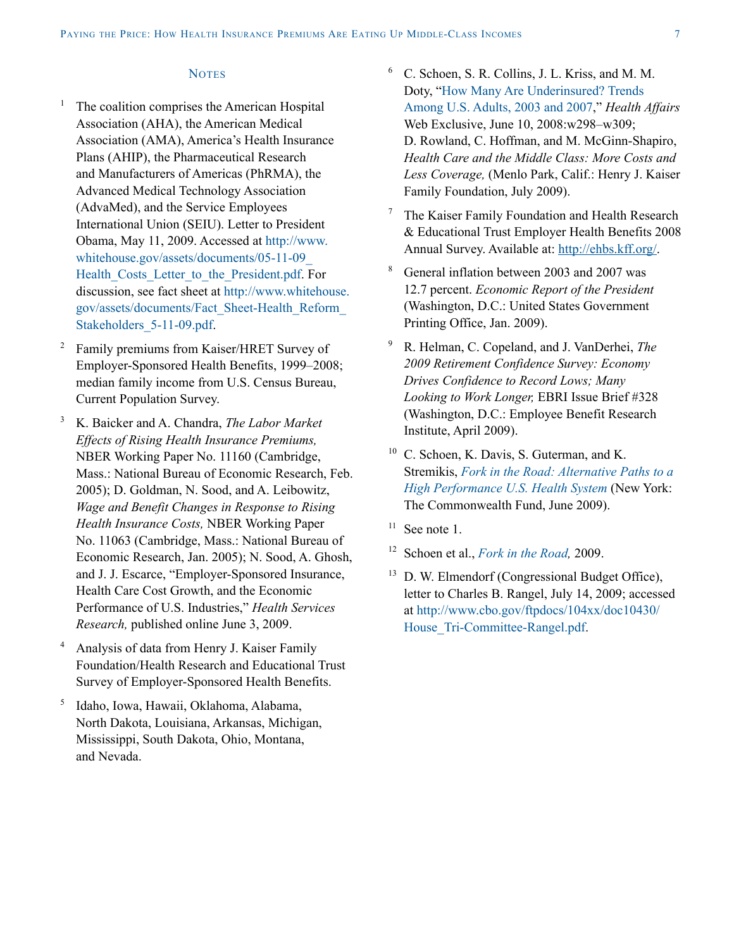### **NOTES**

- The coalition comprises the American Hospital Association (AHA), the American Medical Association (AMA), America's Health Insurance Plans (AHIP), the Pharmaceutical Research and Manufacturers of Americas (PhRMA), the Advanced Medical Technology Association (AdvaMed), and the Service Employees International Union (SEIU). Letter to President Obama, May 11, 2009. Accessed at [http://www.](http://www.whitehouse.gov/assets/documents/05-11-09_Health_Costs_Letter_to_the_President.pdf) [whitehouse.gov/assets/documents/05-11-09\\_](http://www.whitehouse.gov/assets/documents/05-11-09_Health_Costs_Letter_to_the_President.pdf) Health Costs Letter to the President.pdf. For discussion, see fact sheet at [http://www.whitehouse.](http://www.whitehouse.gov/assets/documents/Fact_Sheet-Health_Reform_Stakeholders_5-11-09.pdf) [gov/assets/documents/Fact\\_Sheet-Health\\_Reform\\_](http://www.whitehouse.gov/assets/documents/Fact_Sheet-Health_Reform_Stakeholders_5-11-09.pdf) Stakeholders 5-11-09.pdf.
- <sup>2</sup> Family premiums from Kaiser/HRET Survey of Employer-Sponsored Health Benefits, 1999–2008; median family income from U.S. Census Bureau, Current Population Survey.
- <sup>3</sup> K. Baicker and A. Chandra, *The Labor Market Effects of Rising Health Insurance Premiums,* NBER Working Paper No. 11160 (Cambridge, Mass.: National Bureau of Economic Research, Feb. 2005); D. Goldman, N. Sood, and A. Leibowitz, *Wage and Benefit Changes in Response to Rising Health Insurance Costs,* NBER Working Paper No. 11063 (Cambridge, Mass.: National Bureau of Economic Research, Jan. 2005); N. Sood, A. Ghosh, and J. J. Escarce, "Employer-Sponsored Insurance, Health Care Cost Growth, and the Economic Performance of U.S. Industries," *Health Services Research,* published online June 3, 2009.
- <sup>4</sup> Analysis of data from Henry J. Kaiser Family Foundation/Health Research and Educational Trust Survey of Employer-Sponsored Health Benefits.
- <sup>5</sup> Idaho, Iowa, Hawaii, Oklahoma, Alabama, North Dakota, Louisiana, Arkansas, Michigan, Mississippi, South Dakota, Ohio, Montana, and Nevada.
- <sup>6</sup> C. Schoen, S. R. Collins, J. L. Kriss, and M. M. Doty, "[How Many Are Underinsured? Trends](http://www.commonwealthfund.org/Content/Publications/In-the-Literature/2008/Jun/How-Many-Are-Underinsured--Trends-Among-U-S--Adults--2003-and-2007.aspx)  [Among U.S. Adults, 2003 and 2007,](http://www.commonwealthfund.org/Content/Publications/In-the-Literature/2008/Jun/How-Many-Are-Underinsured--Trends-Among-U-S--Adults--2003-and-2007.aspx)" *Health Affairs* Web Exclusive, June 10, 2008:w298–w309; D. Rowland, C. Hoffman, and M. McGinn-Shapiro, *Health Care and the Middle Class: More Costs and Less Coverage,* (Menlo Park, Calif.: Henry J. Kaiser Family Foundation, July 2009).
- $7$  The Kaiser Family Foundation and Health Research & Educational Trust Employer Health Benefits 2008 Annual Survey. Available at: <http://ehbs.kff.org/>.
- <sup>8</sup> General inflation between 2003 and 2007 was 12.7 percent. *Economic Report of the President*  (Washington, D.C.: United States Government Printing Office, Jan. 2009).
- <sup>9</sup> R. Helman, C. Copeland, and J. VanDerhei, *The 2009 Retirement Confidence Survey: Economy Drives Confidence to Record Lows; Many Looking to Work Longer,* EBRI Issue Brief #328 (Washington, D.C.: Employee Benefit Research Institute, April 2009).
- <sup>10</sup> C. Schoen, K. Davis, S. Guterman, and K. Stremikis, *[Fork in the Road: Alternative Paths to a](http://www.commonwealthfund.org/Content/Publications/Fund-Reports/2009/Jun/Fork-in-the-Road.aspx)  [High Performance U.S. Health System](http://www.commonwealthfund.org/Content/Publications/Fund-Reports/2009/Jun/Fork-in-the-Road.aspx)* (New York: The Commonwealth Fund, June 2009).
- $11$  See note 1.
- <sup>12</sup> Schoen et al., *[Fork in the Road,](http://www.commonwealthfund.org/Content/Publications/Fund-Reports/2009/Jun/Fork-in-the-Road.aspx)* 2009.
- <sup>13</sup> D. W. Elmendorf (Congressional Budget Office), letter to Charles B. Rangel, July 14, 2009; accessed at [http://www.cbo.gov/ftpdocs/104xx/doc10430/](http://www.cbo.gov/ftpdocs/104xx/doc10430/House_Tri-Committee-Rangel.pdf) [House\\_Tri-Committee-Rangel.pdf](http://www.cbo.gov/ftpdocs/104xx/doc10430/House_Tri-Committee-Rangel.pdf).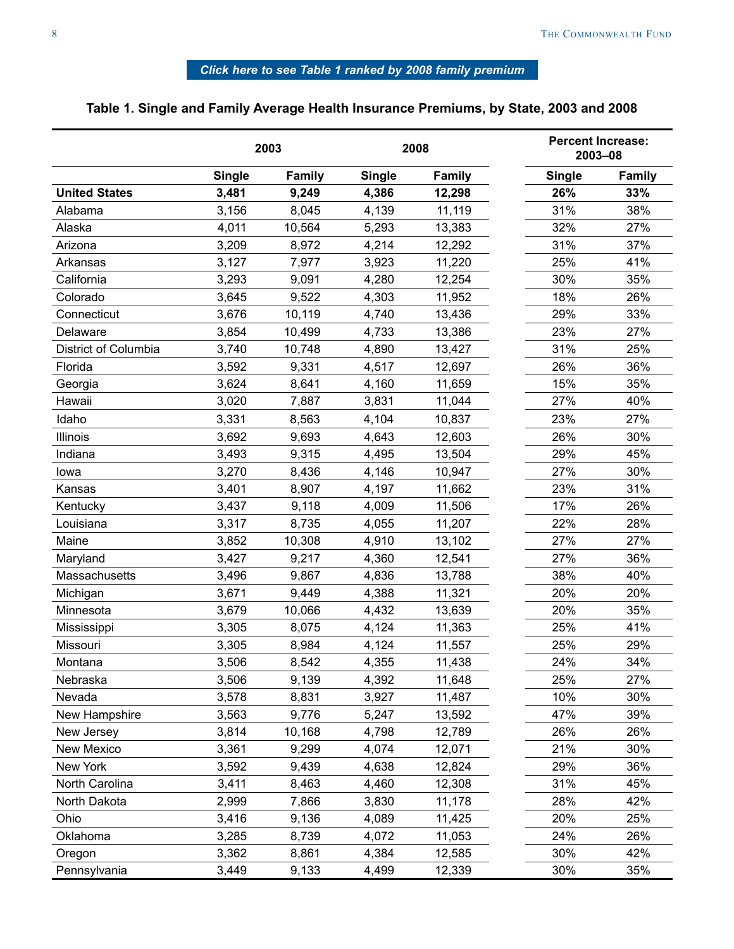# *[Click here to see Table 1 ranked by 2008 family premium](#page-19-0)*

# <span id="page-7-0"></span>**Table 1. Single and Family Average Health Insurance Premiums, by State, 2003 and 2008**

|                      |               | 2003          |               | 2008          | <b>Percent Increase:</b><br>2003-08 |        |
|----------------------|---------------|---------------|---------------|---------------|-------------------------------------|--------|
|                      | <b>Single</b> | <b>Family</b> | <b>Single</b> | <b>Family</b> | <b>Single</b>                       | Family |
| <b>United States</b> | 3,481         | 9,249         | 4,386         | 12,298        | 26%                                 | 33%    |
| Alabama              | 3,156         | 8,045         | 4,139         | 11,119        | 31%                                 | 38%    |
| Alaska               | 4,011         | 10,564        | 5,293         | 13,383        | 32%                                 | 27%    |
| Arizona              | 3,209         | 8,972         | 4,214         | 12,292        | 31%                                 | 37%    |
| Arkansas             | 3,127         | 7,977         | 3,923         | 11,220        | 25%                                 | 41%    |
| California           | 3,293         | 9,091         | 4,280         | 12,254        | 30%                                 | 35%    |
| Colorado             | 3,645         | 9,522         | 4,303         | 11,952        | 18%                                 | 26%    |
| Connecticut          | 3,676         | 10,119        | 4,740         | 13,436        | 29%                                 | 33%    |
| Delaware             | 3,854         | 10,499        | 4,733         | 13,386        | 23%                                 | 27%    |
| District of Columbia | 3,740         | 10,748        | 4,890         | 13,427        | 31%                                 | 25%    |
| Florida              | 3,592         | 9,331         | 4,517         | 12,697        | 26%                                 | 36%    |
| Georgia              | 3,624         | 8,641         | 4,160         | 11,659        | 15%                                 | 35%    |
| Hawaii               | 3,020         | 7,887         | 3,831         | 11,044        | 27%                                 | 40%    |
| Idaho                | 3,331         | 8,563         | 4,104         | 10,837        | 23%                                 | 27%    |
| <b>Illinois</b>      | 3,692         | 9,693         | 4,643         | 12,603        | 26%                                 | 30%    |
| Indiana              | 3,493         | 9,315         | 4,495         | 13,504        | 29%                                 | 45%    |
| lowa                 | 3,270         | 8,436         | 4,146         | 10,947        | 27%                                 | 30%    |
| Kansas               | 3,401         | 8,907         | 4,197         | 11,662        | 23%                                 | 31%    |
| Kentucky             | 3,437         | 9,118         | 4,009         | 11,506        | 17%                                 | 26%    |
| Louisiana            | 3,317         | 8,735         | 4,055         | 11,207        | 22%                                 | 28%    |
| Maine                | 3,852         | 10,308        | 4,910         | 13,102        | 27%                                 | 27%    |
| Maryland             | 3,427         | 9,217         | 4,360         | 12,541        | 27%                                 | 36%    |
| Massachusetts        | 3,496         | 9,867         | 4,836         | 13,788        | 38%                                 | 40%    |
| Michigan             | 3,671         | 9,449         | 4,388         | 11,321        | 20%                                 | 20%    |
| Minnesota            | 3,679         | 10,066        | 4,432         | 13,639        | 20%                                 | 35%    |
| Mississippi          | 3,305         | 8,075         | 4,124         | 11,363        | 25%                                 | 41%    |
| Missouri             | 3,305         | 8,984         | 4,124         | 11,557        | 25%                                 | 29%    |
| Montana              | 3,506         | 8,542         | 4,355         | 11,438        | 24%                                 | 34%    |
| Nebraska             | 3,506         | 9,139         | 4,392         | 11,648        | 25%                                 | 27%    |
| Nevada               | 3,578         | 8,831         | 3,927         | 11,487        | 10%                                 | 30%    |
| New Hampshire        | 3,563         | 9,776         | 5,247         | 13,592        | 47%                                 | 39%    |
| New Jersey           | 3,814         | 10,168        | 4,798         | 12,789        | 26%                                 | 26%    |
| New Mexico           | 3,361         | 9,299         | 4,074         | 12,071        | 21%                                 | 30%    |
| New York             | 3,592         | 9,439         | 4,638         | 12,824        | 29%                                 | 36%    |
| North Carolina       | 3,411         | 8,463         | 4,460         | 12,308        | 31%                                 | 45%    |
| North Dakota         | 2,999         | 7,866         | 3,830         | 11,178        | 28%                                 | 42%    |
| Ohio                 | 3,416         | 9,136         | 4,089         | 11,425        | 20%                                 | 25%    |
| Oklahoma             | 3,285         | 8,739         | 4,072         | 11,053        | 24%                                 | 26%    |
| Oregon               | 3,362         | 8,861         | 4,384         | 12,585        | 30%                                 | 42%    |
| Pennsylvania         | 3,449         | 9,133         | 4,499         | 12,339        | 30%                                 | 35%    |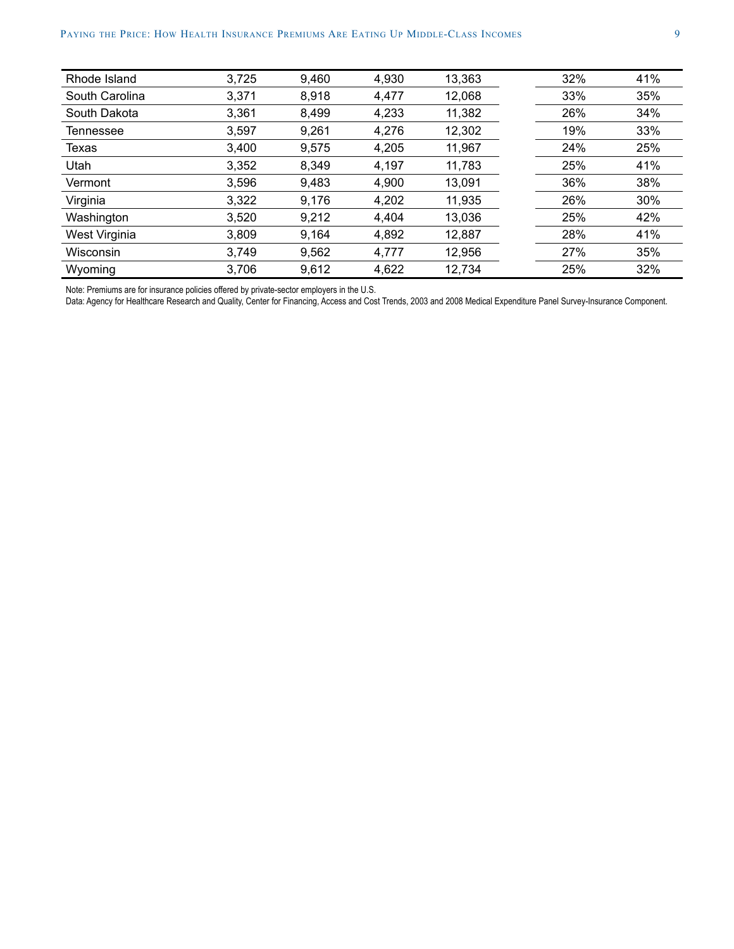| Rhode Island   | 3,725 | 9,460 | 4,930 | 13,363 | 32% | 41% |
|----------------|-------|-------|-------|--------|-----|-----|
| South Carolina | 3,371 | 8,918 | 4,477 | 12,068 | 33% | 35% |
| South Dakota   | 3,361 | 8,499 | 4,233 | 11,382 | 26% | 34% |
| Tennessee      | 3,597 | 9,261 | 4,276 | 12,302 | 19% | 33% |
| Texas          | 3,400 | 9,575 | 4,205 | 11,967 | 24% | 25% |
| Utah           | 3,352 | 8,349 | 4,197 | 11,783 | 25% | 41% |
| Vermont        | 3,596 | 9,483 | 4,900 | 13,091 | 36% | 38% |
| Virginia       | 3,322 | 9,176 | 4,202 | 11,935 | 26% | 30% |
| Washington     | 3,520 | 9,212 | 4,404 | 13,036 | 25% | 42% |
| West Virginia  | 3,809 | 9,164 | 4,892 | 12,887 | 28% | 41% |
| Wisconsin      | 3,749 | 9,562 | 4,777 | 12,956 | 27% | 35% |
| Wyoming        | 3,706 | 9,612 | 4,622 | 12,734 | 25% | 32% |

Note: Premiums are for insurance policies offered by private-sector employers in the U.S.

Data: Agency for Healthcare Research and Quality, Center for Financing, Access and Cost Trends, 2003 and 2008 Medical Expenditure Panel Survey-Insurance Component.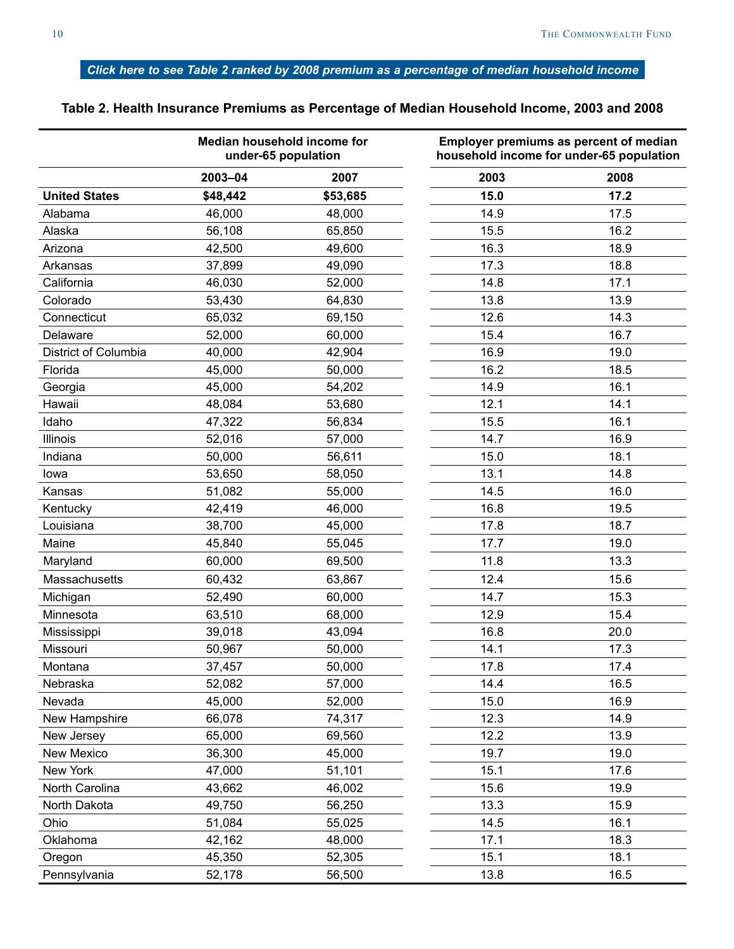# <span id="page-9-0"></span>*[Click here to see Table 2 ranked by 2008 premium as a percentage of median household incom](#page-21-0)e*

|                      | Median household income for<br>under-65 population |          |      | Employer premiums as percent of median<br>household income for under-65 population |
|----------------------|----------------------------------------------------|----------|------|------------------------------------------------------------------------------------|
|                      | 2003-04                                            | 2007     | 2003 | 2008                                                                               |
| <b>United States</b> | \$48,442                                           | \$53,685 | 15.0 | 17.2                                                                               |
| Alabama              | 46,000                                             | 48,000   | 14.9 | 17.5                                                                               |
| Alaska               | 56,108                                             | 65,850   | 15.5 | 16.2                                                                               |
| Arizona              | 42,500                                             | 49,600   | 16.3 | 18.9                                                                               |
| Arkansas             | 37,899                                             | 49,090   | 17.3 | 18.8                                                                               |
| California           | 46,030                                             | 52,000   | 14.8 | 17.1                                                                               |
| Colorado             | 53,430                                             | 64,830   | 13.8 | 13.9                                                                               |
| Connecticut          | 65,032                                             | 69,150   | 12.6 | 14.3                                                                               |
| Delaware             | 52,000                                             | 60,000   | 15.4 | 16.7                                                                               |
| District of Columbia | 40,000                                             | 42,904   | 16.9 | 19.0                                                                               |
| Florida              | 45,000                                             | 50,000   | 16.2 | 18.5                                                                               |
| Georgia              | 45,000                                             | 54,202   | 14.9 | 16.1                                                                               |
| Hawaii               | 48,084                                             | 53,680   | 12.1 | 14.1                                                                               |
| Idaho                | 47,322                                             | 56,834   | 15.5 | 16.1                                                                               |
| Illinois             | 52,016                                             | 57,000   | 14.7 | 16.9                                                                               |
| Indiana              | 50,000                                             | 56,611   | 15.0 | 18.1                                                                               |
| lowa                 | 53,650                                             | 58,050   | 13.1 | 14.8                                                                               |
| Kansas               | 51,082                                             | 55,000   | 14.5 | 16.0                                                                               |
| Kentucky             | 42,419                                             | 46,000   | 16.8 | 19.5                                                                               |
| Louisiana            | 38,700                                             | 45,000   | 17.8 | 18.7                                                                               |
| Maine                | 45,840                                             | 55,045   | 17.7 | 19.0                                                                               |
| Maryland             | 60,000                                             | 69,500   | 11.8 | 13.3                                                                               |
| Massachusetts        | 60,432                                             | 63,867   | 12.4 | 15.6                                                                               |
| Michigan             | 52,490                                             | 60,000   | 14.7 | 15.3                                                                               |
| Minnesota            | 63,510                                             | 68,000   | 12.9 | 15.4                                                                               |
| Mississippi          | 39,018                                             | 43,094   | 16.8 | 20.0                                                                               |
| Missouri             | 50,967                                             | 50,000   | 14.1 | 17.3                                                                               |
| Montana              | 37,457                                             | 50,000   | 17.8 | 17.4                                                                               |
| Nebraska             | 52,082                                             | 57,000   | 14.4 | 16.5                                                                               |
| Nevada               | 45,000                                             | 52,000   | 15.0 | 16.9                                                                               |
| New Hampshire        | 66,078                                             | 74,317   | 12.3 | 14.9                                                                               |
| New Jersey           | 65,000                                             | 69,560   | 12.2 | 13.9                                                                               |
| New Mexico           | 36,300                                             | 45,000   | 19.7 | 19.0                                                                               |
| New York             | 47,000                                             | 51,101   | 15.1 | 17.6                                                                               |
| North Carolina       | 43,662                                             | 46,002   | 15.6 | 19.9                                                                               |
| North Dakota         | 49,750                                             | 56,250   | 13.3 | 15.9                                                                               |
| Ohio                 | 51,084                                             | 55,025   | 14.5 | 16.1                                                                               |
| Oklahoma             | 42,162                                             | 48,000   | 17.1 | 18.3                                                                               |
| Oregon               | 45,350                                             | 52,305   | 15.1 | 18.1                                                                               |
| Pennsylvania         | 52,178                                             | 56,500   | 13.8 | 16.5                                                                               |

# **Table 2. Health Insurance Premiums as Percentage of Median Household Income, 2003 and 2008**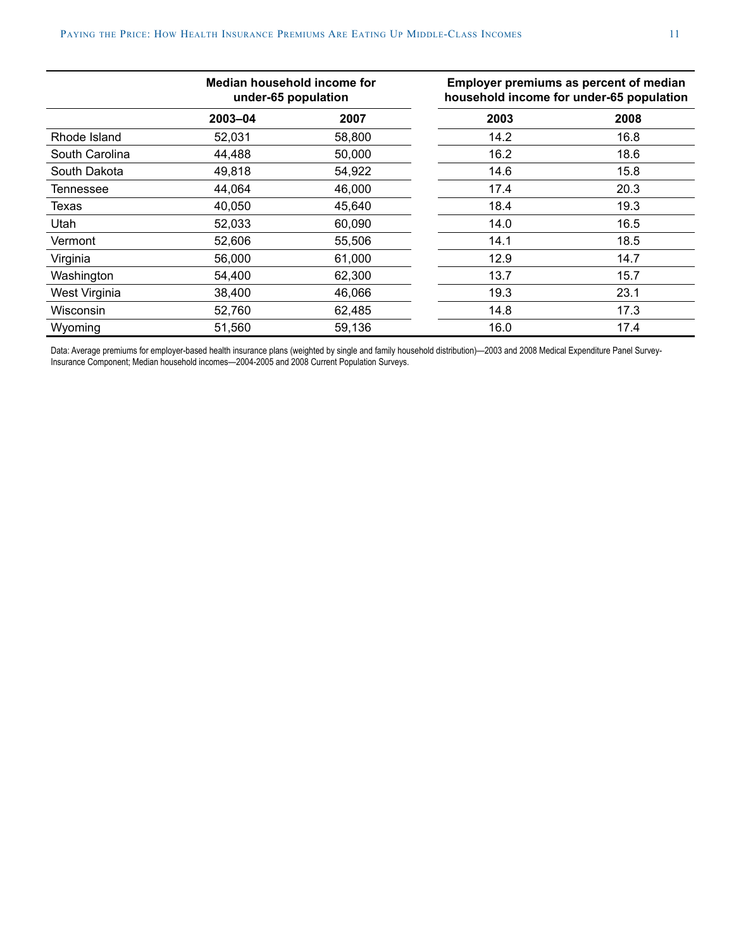|                | Median household income for<br>under-65 population |        |      | Employer premiums as percent of median<br>household income for under-65 population |
|----------------|----------------------------------------------------|--------|------|------------------------------------------------------------------------------------|
|                | 2003-04                                            | 2007   | 2003 | 2008                                                                               |
| Rhode Island   | 52,031                                             | 58,800 | 14.2 | 16.8                                                                               |
| South Carolina | 44,488                                             | 50,000 | 16.2 | 18.6                                                                               |
| South Dakota   | 49,818                                             | 54,922 | 14.6 | 15.8                                                                               |
| Tennessee      | 44,064                                             | 46,000 | 17.4 | 20.3                                                                               |
| Texas          | 40.050                                             | 45,640 | 18.4 | 19.3                                                                               |
| Utah           | 52,033                                             | 60,090 | 14.0 | 16.5                                                                               |
| Vermont        | 52,606                                             | 55,506 | 14.1 | 18.5                                                                               |
| Virginia       | 56,000                                             | 61,000 | 12.9 | 14.7                                                                               |
| Washington     | 54,400                                             | 62,300 | 13.7 | 15.7                                                                               |
| West Virginia  | 38,400                                             | 46,066 | 19.3 | 23.1                                                                               |
| Wisconsin      | 52,760                                             | 62,485 | 14.8 | 17.3                                                                               |
| Wyoming        | 51,560                                             | 59,136 | 16.0 | 17.4                                                                               |

Data: Average premiums for employer-based health insurance plans (weighted by single and family household distribution)—2003 and 2008 Medical Expenditure Panel Survey-Insurance Component; Median household incomes—2004-2005 and 2008 Current Population Surveys.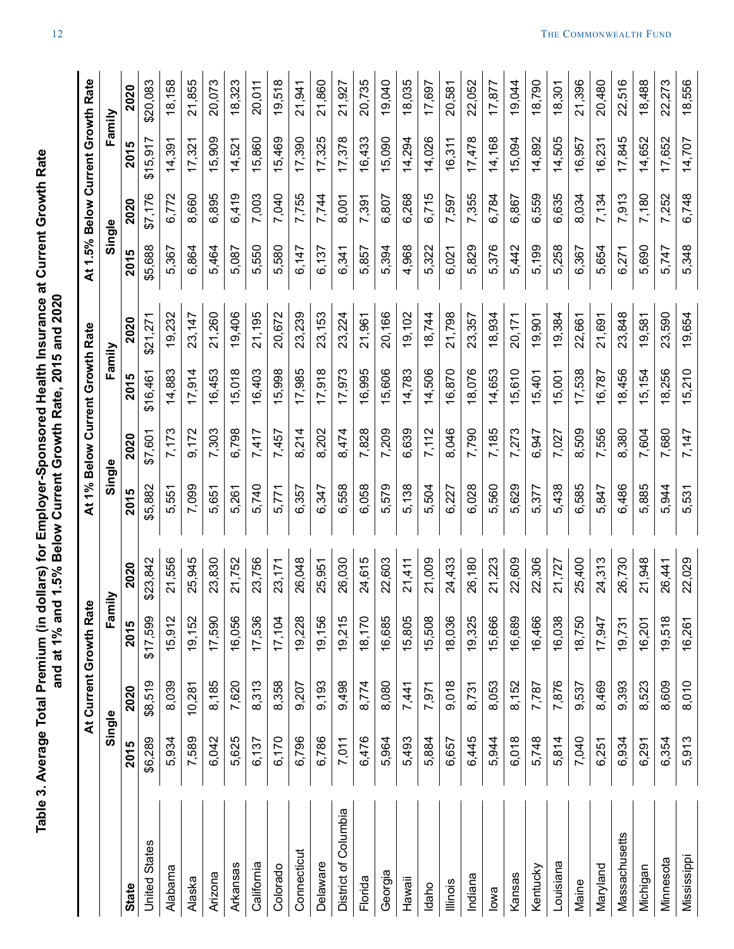<span id="page-11-0"></span>

|                      |         |         | At Current Growth Rate |          |         |         | At 1% Below Current Growth Rate |          |         |         | At 1.5% Below Current Growth Rate |          |
|----------------------|---------|---------|------------------------|----------|---------|---------|---------------------------------|----------|---------|---------|-----------------------------------|----------|
|                      | Single  |         | Fami                   | ≧        | Single  |         | Family                          |          | Single  |         | Family                            |          |
| State                | 2015    | 2020    | 2015                   | 2020     | 2015    | 2020    | 2015                            | 2020     | 2015    | 2020    | 2015                              | 2020     |
| <b>United States</b> | \$6,289 | \$8,519 | \$17,599               | \$23,842 | \$5,882 | \$7,601 | \$16,461                        | \$21,271 | \$5,688 | \$7,176 | \$15,917                          | \$20,083 |
| Alabama              | 5,934   | 8,039   | 15,912                 | 21,556   | 5,551   | 7,173   | 14,883                          | 19,232   | 5,367   | 6,772   | 14,391                            | 18,158   |
| Alaska               | 7,589   | 10,281  | 19,152                 | 25,945   | 7,099   | 9,172   | 17,914                          | 23,147   | 6,864   | 8,660   | 17,321                            | 21,855   |
| Arizona              | 6,042   | 8,185   | 17,590                 | 23,830   | 5,651   | 7,303   | 16,453                          | 21,260   | 5,464   | 6,895   | 15,909                            | 20,073   |
| Arkansas             | 5,625   | 7,620   | 16,056                 | 21,752   | 5,261   | 6,798   | 15,018                          | 19,406   | 5,087   | 6,419   | 14,521                            | 18,323   |
| California           | 6,137   | 8,313   | 17,536                 | 23,756   | 5,740   | 7,417   | 16,403                          | 21,195   | 5,550   | 7,003   | 15,860                            | 20,011   |
| Colorado             | 6,170   | 8,358   | 17,104                 | 23,171   | 5,771   | 7,457   | 15,998                          | 20,672   | 5,580   | 7,040   | 15,469                            | 19,518   |
| Connecticut          | 6,796   | 9,207   | 19,228                 | 26,048   | 6,357   | 8,214   | 17,985                          | 23,239   | 6,147   | 7,755   | 17,390                            | 21,941   |
| Delaware             | 6,786   | 9,193   | 19,156                 | 25,951   | 6,347   | 8,202   | 17,918                          | 23,153   | 6,137   | 7,744   | 17,325                            | 21,860   |
| District of Columbia | 7,011   | 9,498   | 19,215                 | 26,030   | 6,558   | 8,474   | 17,973                          | 23,224   | 6,341   | 8,001   | 17,378                            | 21,927   |
| Florida              | 6,476   | 8,774   | 18,170                 | 24,615   | 6,058   | 7,828   | 16,995                          | 21,961   | 5,857   | 7,391   | 16,433                            | 20,735   |
| Georgia              | 5,964   | 8,080   | 16,685                 | 22,603   | 5,579   | 7,209   | 15,606                          | 20,166   | 5,394   | 6,807   | 15,090                            | 19,040   |
| Hawaii               | 5,493   | 7,441   | 15,805                 | 21,411   | 5,138   | 6,639   | 14,783                          | 19,102   | 4,968   | 6,268   | 14,294                            | 18,035   |
| Idaho                | 5,884   | 7,971   | 15,508                 | 21,009   | 5,504   | 7,112   | 14,506                          | 18,744   | 5,322   | 6,715   | 14,026                            | 17,697   |
| lllinois             | 6,657   | 9,018   | 18,036                 | 24,433   | 6,227   | 8,046   | 16,870                          | 21,798   | 6,021   | 7,597   | 16,311                            | 20,581   |
| Indiana              | 6,445   | 8,731   | 19,325                 | 26,180   | 6,028   | 7,790   | 18,076                          | 23,357   | 5,829   | 7,355   | 17,478                            | 22,052   |
| lowa                 | 5,944   | 8,053   | 15,666                 | 21,223   | 5,560   | 7,185   | 14,653                          | 18,934   | 5,376   | 6,784   | 14,168                            | 17,877   |
| Kansas               | 6,018   | 8,152   | 16,689                 | 22,609   | 5,629   | 7,273   | 15,610                          | 20,171   | 5,442   | 6,867   | 15,094                            | 19,044   |
| Kentucky             | 5,748   | 7,787   | 16,466                 | 22,306   | 5,377   | 6,947   | 15,401                          | 19,901   | 5,199   | 6,559   | 14,892                            | 18,790   |
| Louisiana            | 5,814   | 7,876   | 16,038                 | 21,727   | 5,438   | 7,027   | 15,001                          | 19,384   | 5,258   | 6,635   | 14,505                            | 18,301   |
| Maine                | 7,040   | 9,537   | 18,750                 | 25,400   | 6,585   | 8,509   | 17,538                          | 22,661   | 6,367   | 8,034   | 16,957                            | 21,396   |
| Maryland             | 6,251   | 8,469   | 17,947                 | 24,313   | 5,847   | 7,556   | 16,787                          | 21,691   | 5,654   | 7,134   | 16,231                            | 20,480   |
| Massachusetts        | 6,934   | 9,393   | 19,731                 | 26,730   | 6,486   | 8,380   | 18,456                          | 23,848   | 6,271   | 7,913   | 17,845                            | 22,516   |
| Michigan             | 6,291   | 8,523   | 16,201                 | 21,948   | 5,885   | 7,604   | 15,154                          | 19,581   | 5,690   | 7,180   | 14,652                            | 18,488   |
| Minnesota            | 6,354   | 8,609   | 19,518                 | 26,441   | 5,944   | 7,680   | 18,256                          | 23,590   | 5,747   | 7,252   | 17,652                            | 22,273   |
| Mississippi          | 5,913   | 8,010   | 16,261                 | 22,029   | 5,531   | 7,147   | 15,210                          | 19,654   | 5,348   | 6,748   | 14,707                            | 18,556   |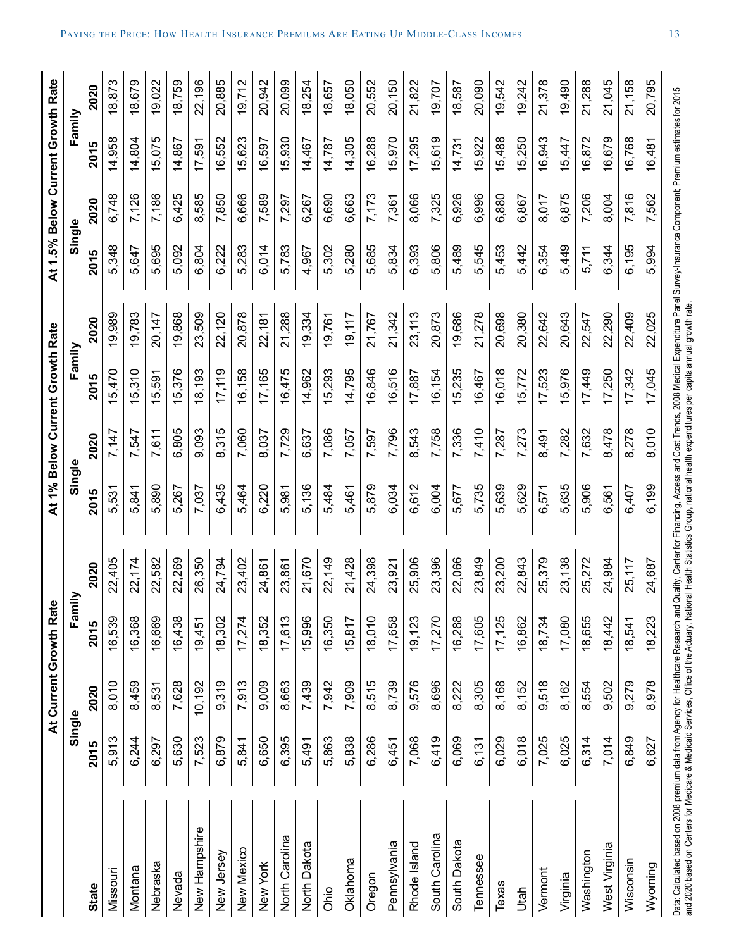|                |        | At Current Growth Rate |        |        |        |       | At 1% Below Current Growth Rate |        |        |       | At 1.5% Below Current Growth Rate |        |
|----------------|--------|------------------------|--------|--------|--------|-------|---------------------------------|--------|--------|-------|-----------------------------------|--------|
|                | Single |                        | Fami   | ≧      | Single |       | Family                          |        | Single |       | Family                            |        |
| State          | 2015   | 2020                   | 2015   | 2020   | 2015   | 2020  | 2015                            | 2020   | 2015   | 2020  | 2015                              | 2020   |
| Missouri       | 5,913  | 8,010                  | 16,539 | 22,405 | 5,531  | 7,147 | 15,470                          | 19,989 | 5,348  | 6,748 | 14,958                            | 18,873 |
| Montana        | 6,244  | 8,459                  | 16,368 | 22,174 | 5,841  | 7,547 | 15,310                          | 19,783 | 5,647  | 7,126 | 14,804                            | 18,679 |
| Nebraska       | 6,297  | 8,531                  | 16,669 | 22,582 | 5,890  | 7,611 | 15,591                          | 20,147 | 5,695  | 7,186 | 15,075                            | 19,022 |
| Nevada         | 5,630  | 7,628                  | 16,438 | 22,269 | 5,267  | 6,805 | 15,376                          | 19,868 | 5,092  | 6,425 | 14,867                            | 18,759 |
| New Hampshire  | 7,523  | 10,192                 | 19,451 | 26,350 | 7,037  | 9,093 | 18,193                          | 23,509 | 6,804  | 8,585 | 17,591                            | 22,196 |
| New Jersey     | 6,879  | 9,319                  | 18,302 | 24,794 | 6,435  | 8,315 | 17,119                          | 22,120 | 6,222  | 7,850 | 16,552                            | 20,885 |
| New Mexico     | 5,841  | 7,913                  | 17,274 | 23,402 | 5,464  | 7,060 | 16,158                          | 20,878 | 5,283  | 6,666 | 15,623                            | 19,712 |
| New York       | 6,650  | 9,009                  | 18,352 | 24,861 | 6,220  | 8,037 | 17,165                          | 22,181 | 6,014  | 7,589 | 16,597                            | 20,942 |
| North Carolina | 6,395  | 8,663                  | 17,613 | 23,861 | 5,981  | 7,729 | 16,475                          | 21,288 | 5,783  | 7,297 | 15,930                            | 20,099 |
| North Dakota   | 5,491  | 7,439                  | 15,996 | 21,670 | 5,136  | 6,637 | 14,962                          | 19,334 | 4,967  | 6,267 | 14,467                            | 18,254 |
| Ohio           | 5,863  | 7,942                  | 16,350 | 22,149 | 5,484  | 7,086 | 15,293                          | 19,761 | 5,302  | 6,690 | 14,787                            | 18,657 |
| Oklahoma       | 5,838  | 7,909                  | 15,817 | 21,428 | 5,461  | 7,057 | 14,795                          | 19,117 | 5,280  | 6,663 | 14,305                            | 18,050 |
| Oregon         | 6,286  | 8,515                  | 18,010 | 24,398 | 5,879  | 7,597 | 16,846                          | 21,767 | 5,685  | 7,173 | 16,288                            | 20,552 |
| Pennsylvania   | 6,451  | 8,739                  | 17,658 | 23,921 | 6,034  | 7,796 | 16,516                          | 21,342 | 5,834  | 7,361 | 15,970                            | 20,150 |
| Rhode Island   | 7,068  | 9,576                  | 19,123 | 25,906 | 6,612  | 8,543 | 17,887                          | 23,113 | 6,393  | 8,066 | 17,295                            | 21,822 |
| South Carolina | 6,419  | 8,696                  | 17,270 | 23,396 | 6,004  | 7,758 | 16,154                          | 20,873 | 5,806  | 7,325 | 15,619                            | 19,707 |
| South Dakota   | 6,069  | 8,222                  | 16,288 | 22,066 | 5,677  | 7,336 | 15,235                          | 19,686 | 5,489  | 6,926 | 14,731                            | 18,587 |
| Tennessee      | 6,131  | 8,305                  | 17,605 | 23,849 | 5,735  | 7,410 | 16,467                          | 21,278 | 5,545  | 6,996 | 15,922                            | 20,090 |
| Texas          | 6,029  | 8,168                  | 17,125 | 23,200 | 5,639  | 7,287 | 16,018                          | 20,698 | 5,453  | 6,880 | 15,488                            | 19,542 |
| Jtah           | 6,018  | 8,152                  | 16,862 | 22,843 | 5,629  | 7,273 | 15,772                          | 20,380 | 5,442  | 6,867 | 15,250                            | 19,242 |
| Vermont        | 7,025  | 9,518                  | 18,734 | 25,379 | 6,571  | 8,491 | 17,523                          | 22,642 | 6,354  | 8,017 | 16,943                            | 21,378 |
| Virginia       | 6,025  | 8,162                  | 17,080 | 23,138 | 5,635  | 7,282 | 15,976                          | 20,643 | 5,449  | 6,875 | 15,447                            | 19,490 |
| Washington     | 6,314  | 8,554                  | 18,655 | 25,272 | 5,906  | 7,632 | 17,449                          | 22,547 | 5,711  | 7,206 | 16,872                            | 21,288 |
| West Virginia  | 7,014  | 9,502                  | 18,442 | 24,984 | 6,561  | 8,478 | 17,250                          | 22,290 | 6,344  | 8,004 | 16,679                            | 21,045 |
| Wisconsin      | 6,849  | 9,279                  | 18,541 | 25,117 | 6,407  | 8,278 | 17,342                          | 22,409 | 6,195  | 7,816 | 16,768                            | 21,158 |
| Wyoming        | 6,627  | 8,978                  | 18,223 | 24,687 | 6,199  | 8,010 | 17,045                          | 22,025 | 5,994  | 7,562 | 16,481                            | 20,795 |
|                |        |                        |        |        |        |       |                                 |        |        |       |                                   |        |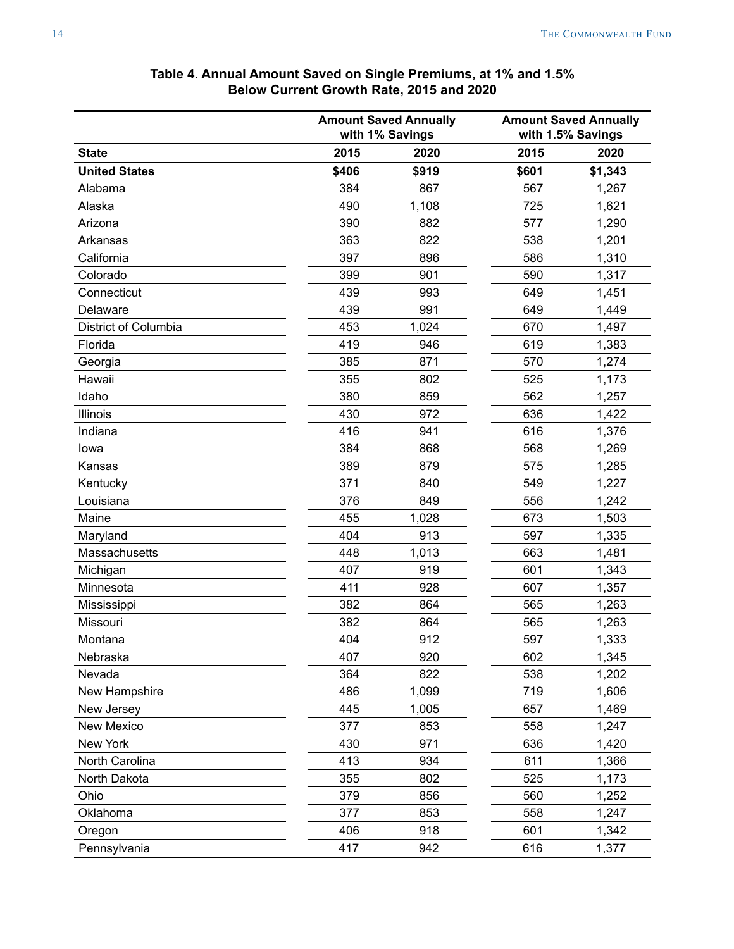<span id="page-13-0"></span>

|                      |       | <b>Amount Saved Annually</b><br>with 1% Savings |       | <b>Amount Saved Annually</b><br>with 1.5% Savings |
|----------------------|-------|-------------------------------------------------|-------|---------------------------------------------------|
| <b>State</b>         | 2015  | 2020                                            | 2015  | 2020                                              |
| <b>United States</b> | \$406 | \$919                                           | \$601 | \$1,343                                           |
| Alabama              | 384   | 867                                             | 567   | 1,267                                             |
| Alaska               | 490   | 1,108                                           | 725   | 1,621                                             |
| Arizona              | 390   | 882                                             | 577   | 1,290                                             |
| Arkansas             | 363   | 822                                             | 538   | 1,201                                             |
| California           | 397   | 896                                             | 586   | 1,310                                             |
| Colorado             | 399   | 901                                             | 590   | 1,317                                             |
| Connecticut          | 439   | 993                                             | 649   | 1,451                                             |
| Delaware             | 439   | 991                                             | 649   | 1,449                                             |
| District of Columbia | 453   | 1,024                                           | 670   | 1,497                                             |
| Florida              | 419   | 946                                             | 619   | 1,383                                             |
| Georgia              | 385   | 871                                             | 570   | 1,274                                             |
| Hawaii               | 355   | 802                                             | 525   | 1,173                                             |
| Idaho                | 380   | 859                                             | 562   | 1,257                                             |
| Illinois             | 430   | 972                                             | 636   | 1,422                                             |
| Indiana              | 416   | 941                                             | 616   | 1,376                                             |
| lowa                 | 384   | 868                                             | 568   | 1,269                                             |
| Kansas               | 389   | 879                                             | 575   | 1,285                                             |
| Kentucky             | 371   | 840                                             | 549   | 1,227                                             |
| Louisiana            | 376   | 849                                             | 556   | 1,242                                             |
| Maine                | 455   | 1,028                                           | 673   | 1,503                                             |
| Maryland             | 404   | 913                                             | 597   | 1,335                                             |
| Massachusetts        | 448   | 1,013                                           | 663   | 1,481                                             |
| Michigan             | 407   | 919                                             | 601   | 1,343                                             |
| Minnesota            | 411   | 928                                             | 607   | 1,357                                             |
| Mississippi          | 382   | 864                                             | 565   | 1,263                                             |
| Missouri             | 382   | 864                                             | 565   | 1,263                                             |
| Montana              | 404   | 912                                             | 597   | 1,333                                             |
| Nebraska             | 407   | 920                                             | 602   | 1,345                                             |
| Nevada               | 364   | 822                                             | 538   | 1,202                                             |
| New Hampshire        | 486   | 1,099                                           | 719   | 1,606                                             |
| New Jersey           | 445   | 1,005                                           | 657   | 1,469                                             |
| New Mexico           | 377   | 853                                             | 558   | 1,247                                             |
| New York             | 430   | 971                                             | 636   | 1,420                                             |
| North Carolina       | 413   | 934                                             | 611   | 1,366                                             |
| North Dakota         | 355   | 802                                             | 525   | 1,173                                             |
| Ohio                 | 379   | 856                                             | 560   | 1,252                                             |
| Oklahoma             | 377   | 853                                             | 558   | 1,247                                             |
| Oregon               | 406   | 918                                             | 601   | 1,342                                             |
| Pennsylvania         | 417   | 942                                             | 616   | 1,377                                             |

### **Table 4. Annual Amount Saved on Single Premiums, at 1% and 1.5% Below Current Growth Rate, 2015 and 2020**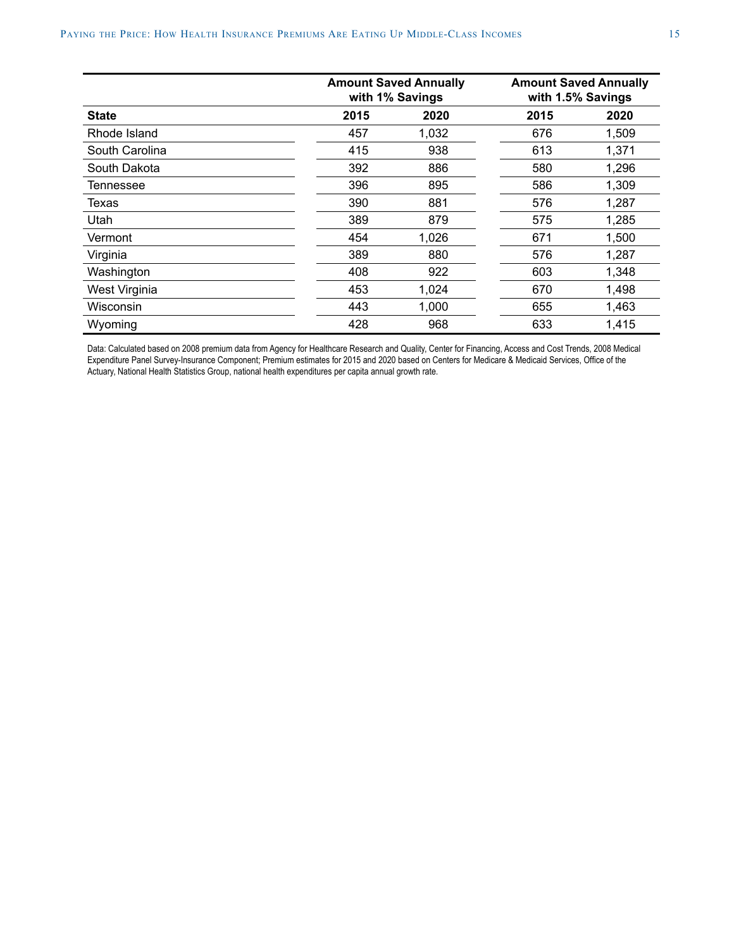|                |      | <b>Amount Saved Annually</b><br>with 1% Savings |      | <b>Amount Saved Annually</b><br>with 1.5% Savings |
|----------------|------|-------------------------------------------------|------|---------------------------------------------------|
| <b>State</b>   | 2015 | 2020                                            | 2015 | 2020                                              |
| Rhode Island   | 457  | 1,032                                           | 676  | 1,509                                             |
| South Carolina | 415  | 938                                             | 613  | 1,371                                             |
| South Dakota   | 392  | 886                                             | 580  | 1,296                                             |
| Tennessee      | 396  | 895                                             | 586  | 1,309                                             |
| <b>Texas</b>   | 390  | 881                                             | 576  | 1,287                                             |
| Utah           | 389  | 879                                             | 575  | 1,285                                             |
| Vermont        | 454  | 1,026                                           | 671  | 1,500                                             |
| Virginia       | 389  | 880                                             | 576  | 1,287                                             |
| Washington     | 408  | 922                                             | 603  | 1,348                                             |
| West Virginia  | 453  | 1,024                                           | 670  | 1,498                                             |
| Wisconsin      | 443  | 1,000                                           | 655  | 1,463                                             |
| Wyoming        | 428  | 968                                             | 633  | 1,415                                             |

Data: Calculated based on 2008 premium data from Agency for Healthcare Research and Quality, Center for Financing, Access and Cost Trends, 2008 Medical Expenditure Panel Survey-Insurance Component; Premium estimates for 2015 and 2020 based on Centers for Medicare & Medicaid Services, Office of the Actuary, National Health Statistics Group, national health expenditures per capita annual growth rate.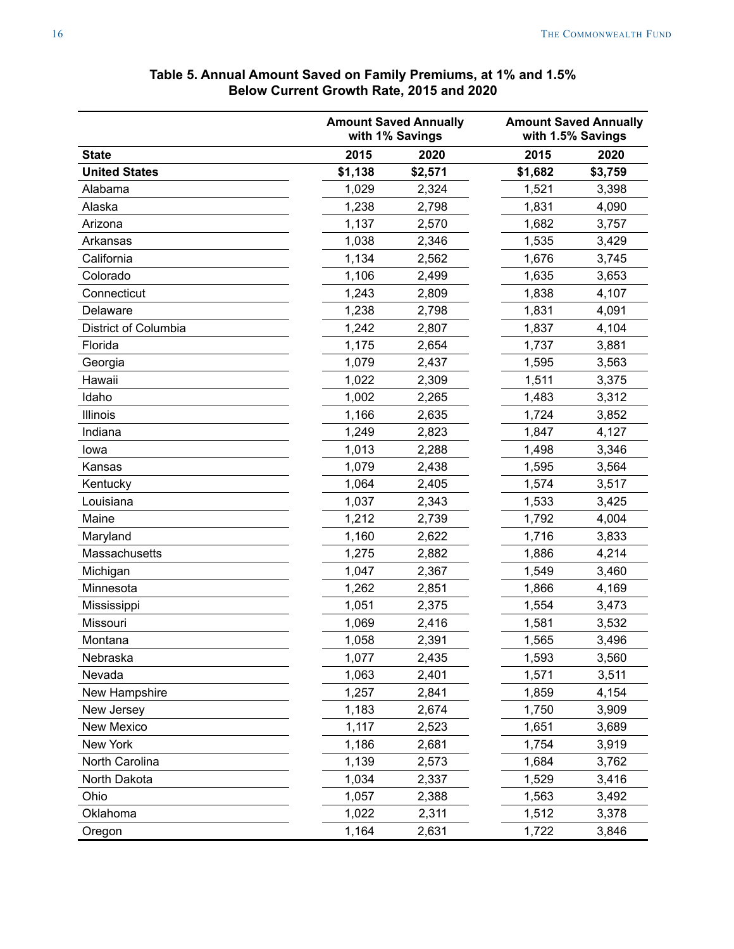<span id="page-15-0"></span>

|                      | <b>UGHEIR OF OWEN Rate, 2010 and 2020</b> |                                                 |         |                                                   |
|----------------------|-------------------------------------------|-------------------------------------------------|---------|---------------------------------------------------|
|                      |                                           | <b>Amount Saved Annually</b><br>with 1% Savings |         | <b>Amount Saved Annually</b><br>with 1.5% Savings |
| <b>State</b>         | 2015                                      | 2020                                            | 2015    | 2020                                              |
| <b>United States</b> | \$1,138                                   | \$2,571                                         | \$1,682 | \$3,759                                           |
| Alabama              | 1,029                                     | 2,324                                           | 1,521   | 3,398                                             |
| Alaska               | 1,238                                     | 2,798                                           | 1,831   | 4,090                                             |
| Arizona              | 1,137                                     | 2,570                                           | 1,682   | 3,757                                             |
| Arkansas             | 1,038                                     | 2,346                                           | 1,535   | 3,429                                             |
| California           | 1,134                                     | 2,562                                           | 1,676   | 3,745                                             |
| Colorado             | 1,106                                     | 2,499                                           | 1,635   | 3,653                                             |
| Connecticut          | 1,243                                     | 2,809                                           | 1,838   | 4,107                                             |
| Delaware             | 1,238                                     | 2,798                                           | 1,831   | 4,091                                             |
| District of Columbia | 1,242                                     | 2,807                                           | 1,837   | 4,104                                             |
| Florida              | 1,175                                     | 2,654                                           | 1,737   | 3,881                                             |
| Georgia              | 1,079                                     | 2,437                                           | 1,595   | 3,563                                             |
| Hawaii               | 1,022                                     | 2,309                                           | 1,511   | 3,375                                             |
| Idaho                | 1,002                                     | 2,265                                           | 1,483   | 3,312                                             |
| Illinois             | 1,166                                     | 2,635                                           | 1,724   | 3,852                                             |
| Indiana              | 1,249                                     | 2,823                                           | 1,847   | 4,127                                             |
| lowa                 | 1,013                                     | 2,288                                           | 1,498   | 3,346                                             |
| Kansas               | 1,079                                     | 2,438                                           | 1,595   | 3,564                                             |
| Kentucky             | 1,064                                     | 2,405                                           | 1,574   | 3,517                                             |
| Louisiana            | 1,037                                     | 2,343                                           | 1,533   | 3,425                                             |
| Maine                | 1,212                                     | 2,739                                           | 1,792   | 4,004                                             |
| Maryland             | 1,160                                     | 2,622                                           | 1,716   | 3,833                                             |
| Massachusetts        | 1,275                                     | 2,882                                           | 1,886   | 4,214                                             |
| Michigan             | 1,047                                     | 2,367                                           | 1,549   | 3,460                                             |
| Minnesota            | 1,262                                     | 2,851                                           | 1,866   | 4,169                                             |
| Mississippi          | 1,051                                     | 2,375                                           | 1,554   | 3,473                                             |
| Missouri             | 1,069                                     | 2,416                                           | 1,581   | 3,532                                             |
| Montana              | 1,058                                     | 2,391                                           | 1,565   | 3,496                                             |
| Nebraska             | 1,077                                     | 2,435                                           | 1,593   | 3,560                                             |
| Nevada               | 1,063                                     | 2,401                                           | 1,571   | 3,511                                             |
| New Hampshire        | 1,257                                     | 2,841                                           | 1,859   | 4,154                                             |
| New Jersey           | 1,183                                     | 2,674                                           | 1,750   | 3,909                                             |
| New Mexico           | 1,117                                     | 2,523                                           | 1,651   | 3,689                                             |
| New York             | 1,186                                     | 2,681                                           | 1,754   | 3,919                                             |
| North Carolina       | 1,139                                     | 2,573                                           | 1,684   | 3,762                                             |
| North Dakota         | 1,034                                     | 2,337                                           | 1,529   | 3,416                                             |
| Ohio                 | 1,057                                     | 2,388                                           | 1,563   | 3,492                                             |
| Oklahoma             | 1,022                                     | 2,311                                           | 1,512   | 3,378                                             |
| Oregon               | 1,164                                     | 2,631                                           | 1,722   | 3,846                                             |

### **Table 5. Annual Amount Saved on Family Premiums, at 1% and 1.5% Below Current Growth Rate, 2015 and 2020**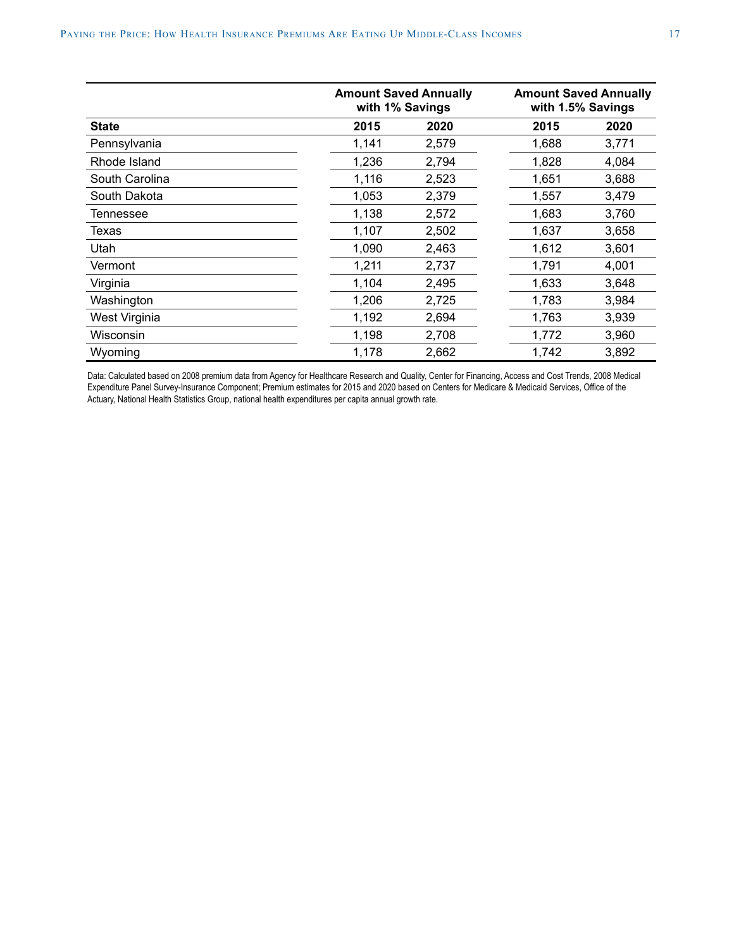|                |       | <b>Amount Saved Annually</b><br>with 1% Savings | <b>Amount Saved Annually</b><br>with 1.5% Savings |       |
|----------------|-------|-------------------------------------------------|---------------------------------------------------|-------|
| <b>State</b>   | 2015  | 2020                                            | 2015                                              | 2020  |
| Pennsylvania   | 1,141 | 2,579                                           | 1,688                                             | 3,771 |
| Rhode Island   | 1,236 | 2,794                                           | 1,828                                             | 4,084 |
| South Carolina | 1,116 | 2,523                                           | 1,651                                             | 3,688 |
| South Dakota   | 1,053 | 2,379                                           | 1,557                                             | 3,479 |
| Tennessee      | 1,138 | 2,572                                           | 1,683                                             | 3,760 |
| Texas          | 1,107 | 2,502                                           | 1,637                                             | 3,658 |
| Utah           | 1,090 | 2,463                                           | 1,612                                             | 3,601 |
| Vermont        | 1,211 | 2,737                                           | 1,791                                             | 4,001 |
| Virginia       | 1,104 | 2,495                                           | 1,633                                             | 3,648 |
| Washington     | 1,206 | 2,725                                           | 1,783                                             | 3,984 |
| West Virginia  | 1,192 | 2,694                                           | 1,763                                             | 3,939 |
| Wisconsin      | 1,198 | 2,708                                           | 1,772                                             | 3,960 |
| Wyoming        | 1,178 | 2,662                                           | 1,742                                             | 3,892 |

Data: Calculated based on 2008 premium data from Agency for Healthcare Research and Quality, Center for Financing, Access and Cost Trends, 2008 Medical Expenditure Panel Survey-Insurance Component; Premium estimates for 2015 and 2020 based on Centers for Medicare & Medicaid Services, Office of the Actuary, National Health Statistics Group, national health expenditures per capita annual growth rate.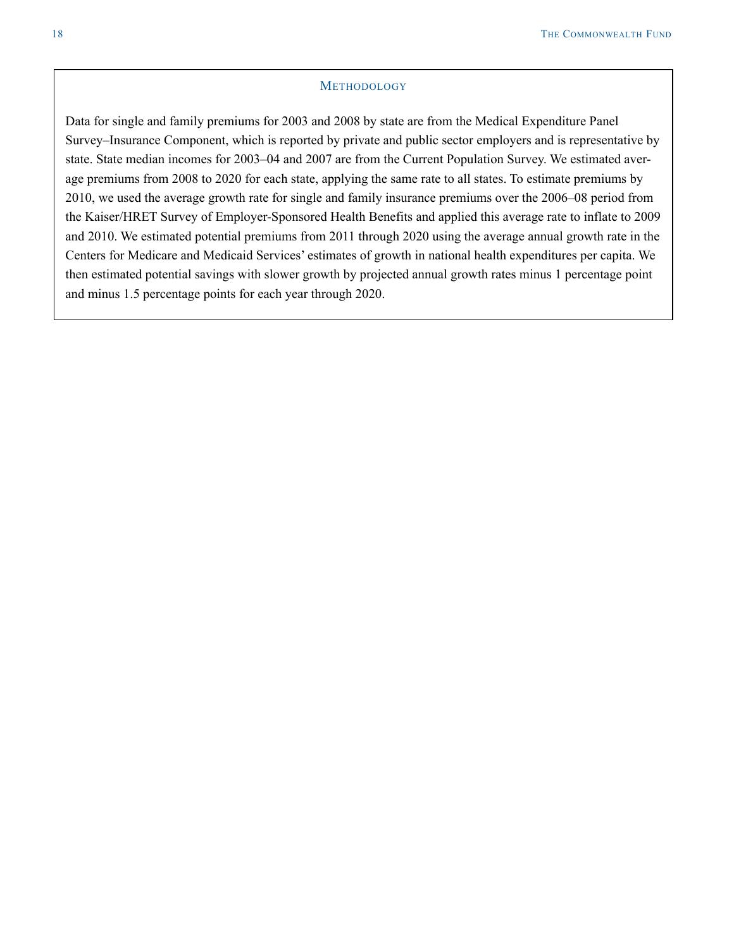### **METHODOLOGY**

Data for single and family premiums for 2003 and 2008 by state are from the Medical Expenditure Panel Survey–Insurance Component, which is reported by private and public sector employers and is representative by state. State median incomes for 2003–04 and 2007 are from the Current Population Survey. We estimated average premiums from 2008 to 2020 for each state, applying the same rate to all states. To estimate premiums by 2010, we used the average growth rate for single and family insurance premiums over the 2006–08 period from the Kaiser/HRET Survey of Employer-Sponsored Health Benefits and applied this average rate to inflate to 2009 and 2010. We estimated potential premiums from 2011 through 2020 using the average annual growth rate in the Centers for Medicare and Medicaid Services' estimates of growth in national health expenditures per capita. We then estimated potential savings with slower growth by projected annual growth rates minus 1 percentage point and minus 1.5 percentage points for each year through 2020.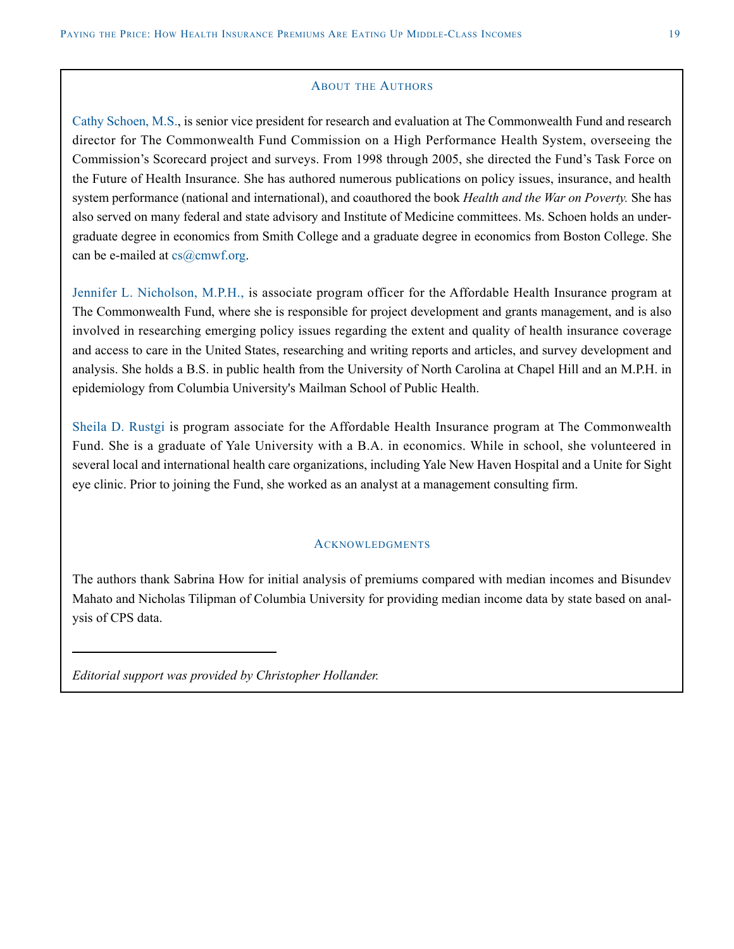### ABOUT THE AUTHORS

Cathy Schoen, M.S., is senior vice president for research and evaluation at The Commonwealth Fund and research director for The Commonwealth Fund Commission on a High Performance Health System, overseeing the Commission's Scorecard project and surveys. From 1998 through 2005, she directed the Fund's Task Force on the Future of Health Insurance. She has authored numerous publications on policy issues, insurance, and health system performance (national and international), and coauthored the book *Health and the War on Poverty.* She has also served on many federal and state advisory and Institute of Medicine committees. Ms. Schoen holds an undergraduate degree in economics from Smith College and a graduate degree in economics from Boston College. She can be e-mailed at  $cs@cmwf.org$ .

Jennifer L. Nicholson, M.P.H., is associate program officer for the Affordable Health Insurance program at The Commonwealth Fund, where she is responsible for project development and grants management, and is also involved in researching emerging policy issues regarding the extent and quality of health insurance coverage and access to care in the United States, researching and writing reports and articles, and survey development and analysis. She holds a B.S. in public health from the University of North Carolina at Chapel Hill and an M.P.H. in epidemiology from Columbia University's Mailman School of Public Health.

Sheila D. Rustgi is program associate for the Affordable Health Insurance program at The Commonwealth Fund. She is a graduate of Yale University with a B.A. in economics. While in school, she volunteered in several local and international health care organizations, including Yale New Haven Hospital and a Unite for Sight eye clinic. Prior to joining the Fund, she worked as an analyst at a management consulting firm.

### **ACKNOWLEDGMENTS**

The authors thank Sabrina How for initial analysis of premiums compared with median incomes and Bisundev Mahato and Nicholas Tilipman of Columbia University for providing median income data by state based on analysis of CPS data.

*Editorial support was provided by Christopher Hollander.*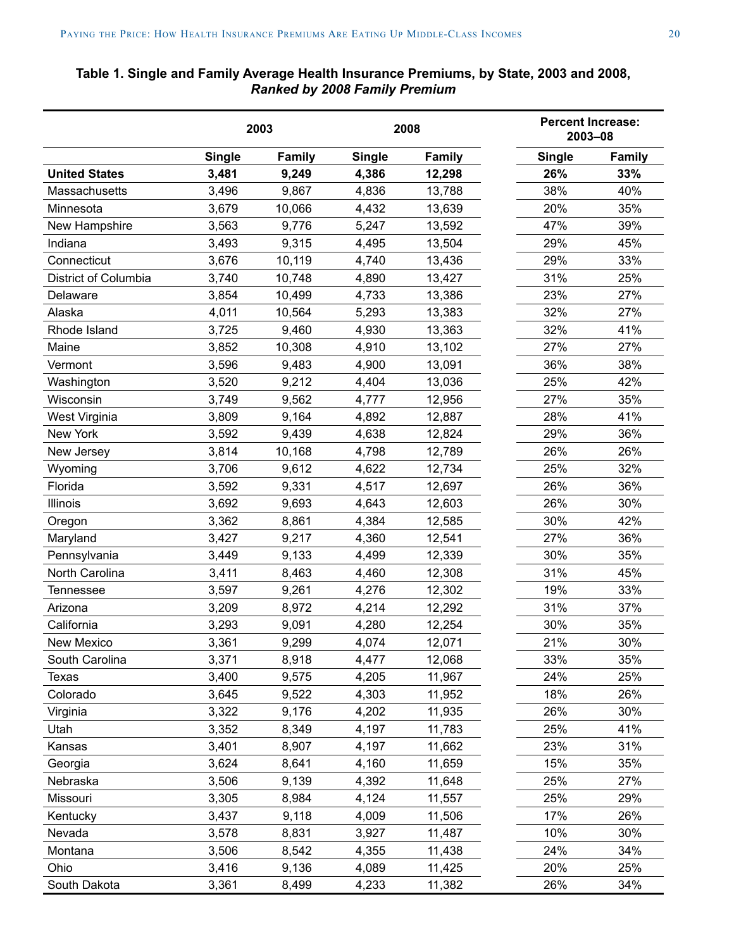# <span id="page-19-0"></span>**Table 1. Single and Family Average Health Insurance Premiums, by State, 2003 and 2008,**  *Ranked by 2008 Family Premium*

|                      | 2003<br>2008  |               |               | <b>Percent Increase:</b><br>2003-08 |               |               |
|----------------------|---------------|---------------|---------------|-------------------------------------|---------------|---------------|
|                      | <b>Single</b> | <b>Family</b> | <b>Single</b> | <b>Family</b>                       | <b>Single</b> | <b>Family</b> |
| <b>United States</b> | 3,481         | 9,249         | 4,386         | 12,298                              | 26%           | 33%           |
| Massachusetts        | 3,496         | 9,867         | 4,836         | 13,788                              | 38%           | 40%           |
| Minnesota            | 3,679         | 10,066        | 4,432         | 13,639                              | 20%           | 35%           |
| New Hampshire        | 3,563         | 9,776         | 5,247         | 13,592                              | 47%           | 39%           |
| Indiana              | 3,493         | 9,315         | 4,495         | 13,504                              | 29%           | 45%           |
| Connecticut          | 3,676         | 10,119        | 4,740         | 13,436                              | 29%           | 33%           |
| District of Columbia | 3,740         | 10,748        | 4,890         | 13,427                              | 31%           | 25%           |
| Delaware             | 3,854         | 10,499        | 4,733         | 13,386                              | 23%           | 27%           |
| Alaska               | 4,011         | 10,564        | 5,293         | 13,383                              | 32%           | 27%           |
| Rhode Island         | 3,725         | 9,460         | 4,930         | 13,363                              | 32%           | 41%           |
| Maine                | 3,852         | 10,308        | 4,910         | 13,102                              | 27%           | 27%           |
| Vermont              | 3,596         | 9,483         | 4,900         | 13,091                              | 36%           | 38%           |
| Washington           | 3,520         | 9,212         | 4,404         | 13,036                              | 25%           | 42%           |
| Wisconsin            | 3,749         | 9,562         | 4,777         | 12,956                              | 27%           | 35%           |
| West Virginia        | 3,809         | 9,164         | 4,892         | 12,887                              | 28%           | 41%           |
| New York             | 3,592         | 9,439         | 4,638         | 12,824                              | 29%           | 36%           |
| New Jersey           | 3,814         | 10,168        | 4,798         | 12,789                              | 26%           | 26%           |
| Wyoming              | 3,706         | 9,612         | 4,622         | 12,734                              | 25%           | 32%           |
| Florida              | 3,592         | 9,331         | 4,517         | 12,697                              | 26%           | 36%           |
| <b>Illinois</b>      | 3,692         | 9,693         | 4,643         | 12,603                              | 26%           | 30%           |
| Oregon               | 3,362         | 8,861         | 4,384         | 12,585                              | 30%           | 42%           |
| Maryland             | 3,427         | 9,217         | 4,360         | 12,541                              | 27%           | 36%           |
| Pennsylvania         | 3,449         | 9,133         | 4,499         | 12,339                              | 30%           | 35%           |
| North Carolina       | 3,411         | 8,463         | 4,460         | 12,308                              | 31%           | 45%           |
| Tennessee            | 3,597         | 9,261         | 4,276         | 12,302                              | 19%           | 33%           |
| Arizona              | 3,209         | 8,972         | 4,214         | 12,292                              | 31%           | 37%           |
| California           | 3,293         | 9,091         | 4,280         | 12,254                              | 30%           | 35%           |
| New Mexico           | 3,361         | 9,299         | 4,074         | 12,071                              | 21%           | 30%           |
| South Carolina       | 3,371         | 8,918         | 4,477         | 12,068                              | 33%           | 35%           |
| Texas                | 3,400         | 9,575         | 4,205         | 11,967                              | 24%           | 25%           |
| Colorado             | 3,645         | 9,522         | 4,303         | 11,952                              | 18%           | 26%           |
| Virginia             | 3,322         | 9,176         | 4,202         | 11,935                              | 26%           | 30%           |
| Utah                 | 3,352         | 8,349         | 4,197         | 11,783                              | 25%           | 41%           |
| Kansas               | 3,401         | 8,907         | 4,197         | 11,662                              | 23%           | 31%           |
| Georgia              | 3,624         | 8,641         | 4,160         | 11,659                              | 15%           | 35%           |
| Nebraska             | 3,506         | 9,139         | 4,392         | 11,648                              | 25%           | 27%           |
| Missouri             | 3,305         | 8,984         | 4,124         | 11,557                              | 25%           | 29%           |
| Kentucky             | 3,437         | 9,118         | 4,009         | 11,506                              | 17%           | 26%           |
| Nevada               | 3,578         | 8,831         | 3,927         | 11,487                              | 10%           | 30%           |
| Montana              | 3,506         | 8,542         | 4,355         | 11,438                              | 24%           | 34%           |
| Ohio                 | 3,416         | 9,136         | 4,089         | 11,425                              | 20%           | 25%           |
| South Dakota         | 3,361         | 8,499         | 4,233         | 11,382                              | 26%           | 34%           |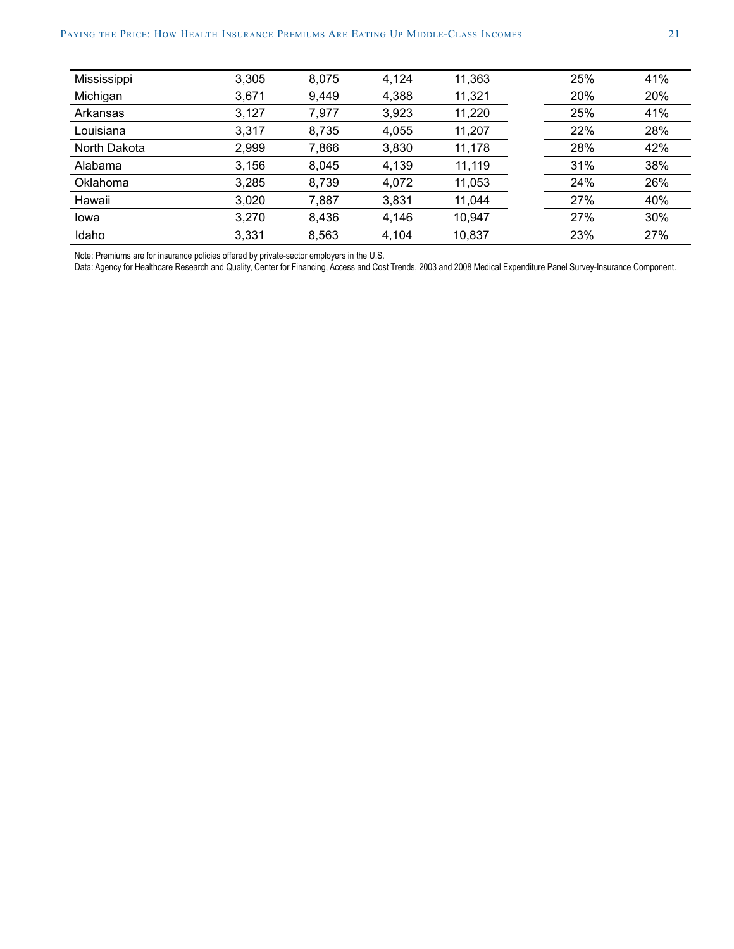| Mississippi  | 3,305 | 8,075 | 4,124 | 11,363 | 25% | 41% |
|--------------|-------|-------|-------|--------|-----|-----|
| Michigan     | 3,671 | 9,449 | 4,388 | 11,321 | 20% | 20% |
| Arkansas     | 3,127 | 7,977 | 3,923 | 11,220 | 25% | 41% |
| Louisiana    | 3,317 | 8,735 | 4,055 | 11,207 | 22% | 28% |
| North Dakota | 2,999 | 7,866 | 3,830 | 11,178 | 28% | 42% |
| Alabama      | 3,156 | 8,045 | 4,139 | 11,119 | 31% | 38% |
| Oklahoma     | 3,285 | 8,739 | 4,072 | 11,053 | 24% | 26% |
| Hawaii       | 3,020 | 7,887 | 3,831 | 11,044 | 27% | 40% |
| lowa         | 3,270 | 8,436 | 4,146 | 10,947 | 27% | 30% |
| Idaho        | 3,331 | 8,563 | 4,104 | 10,837 | 23% | 27% |
|              |       |       |       |        |     |     |

Note: Premiums are for insurance policies offered by private-sector employers in the U.S.

Data: Agency for Healthcare Research and Quality, Center for Financing, Access and Cost Trends, 2003 and 2008 Medical Expenditure Panel Survey-Insurance Component.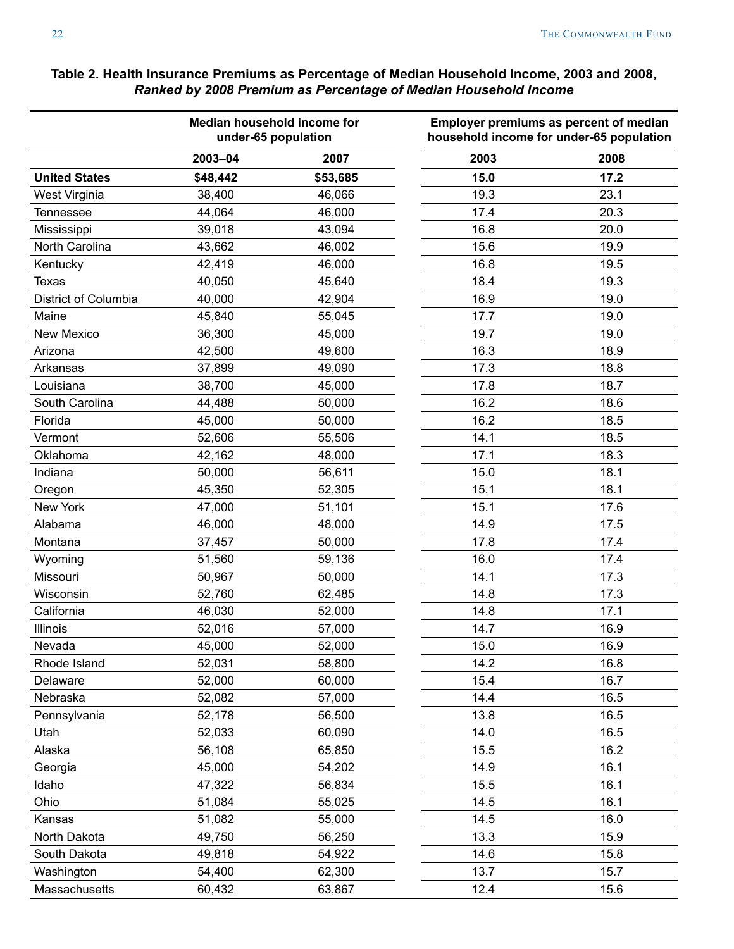# **Median household income for under-65 population Employer premiums as percent of median household income for under-65 population 2003–04 2007 2003 2008 United States \$48,442 \$53,685 15.0 17.2** West Virginia **38,400 19.3** 23.1 Tennessee 44,064 46,000 17.4 20.3 Mississippi 39,018 43,094 16.8 20.0 North Carolina 43,662 46,002 15.6 19.9 Kentucky 42,419 46,000 16.8 19.5 Texas 40,050 45,640 18.4 19.3 District of Columbia 40,000 42,904 16.9 19.0 Maine 45,840 55,045 17.7 19.0 New Mexico 36,300 45,000 19.7 19.0 Arizona 42,500 49,600 16.3 18.9 Arkansas 37,899 49,090 17.3 18.8 Louisiana 38,700 45,000 17.8 18.7 South Carolina 44,488 50,000 16.2 18.6 Florida 45,000 50,000 16.2 18.5 Vermont 52,606 55,506 14.1 18.5 Oklahoma 42,162 48,000 17.1 18.3 Indiana 50,000 56,611 18.1 Oregon 45,350 52,305 15.1 18.1 New York 17.6 (1990) 12.6 (1991) 17.6 (1991) 18.1 (1991) 18.1 (1991) 18.1 (1991) 18.1 (1991) 18.1 (1991) 18.1 ( Alabama 46,000 48,000 14.9 17.5 Montana 37,457 50,000 17.8 17.4 Wyoming 51,560 59,136 16.0 17.4 Missouri 50,967 50,000 14.1 17.3 Wisconsin 52,760 62,485 14.8 17.3 California 46,030 52,000 14.8 17.1 Illinois 52,016 57,000 14.7 16.9 Nevada 45,000 52,000 15.0 16.9 Rhode Island 52,031 58,800 14.2 16.8 Delaware 52,000 60,000 15.4 16.7 Nebraska 52,082 57,000 14.4 16.5 Pennsylvania 52,178 56,500 13.8 16.5 Utah 52,033 60,090 14.0 16.5 Alaska 56,108 65,850 15.5 16.2 Georgia 45,000 54,202 14.9 16.1 Idaho 47,322 56,834 15.5 16.1 Ohio 51,084 55,025 16.1 55,025 16.1 55,025 16.1 Kansas 51,082 55,000 14.5 16.0 North Dakota **19,750** 56,250 13.3 15.9 South Dakota **49,818** 54,922 14.6 15.8 Washington 54,400 62,300 13.7 15.7

Massachusetts 60,432 63,867 12.4 15.6

### <span id="page-21-0"></span>**Table 2. Health Insurance Premiums as Percentage of Median Household Income, 2003 and 2008,**  *Ranked by 2008 Premium as Percentage of Median Household Income*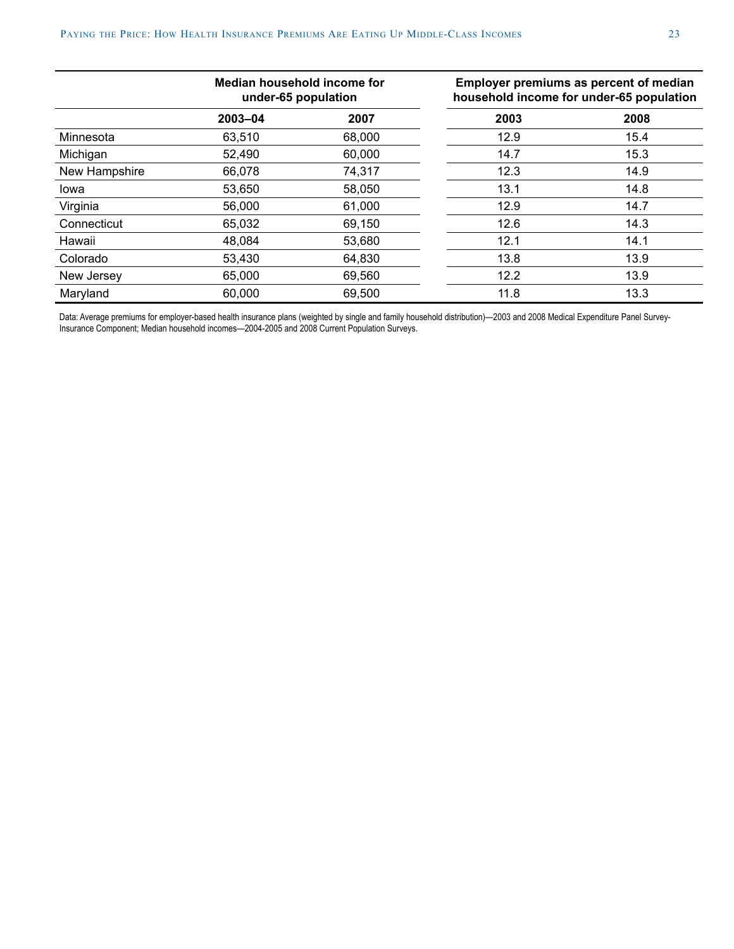|               | Median household income for<br>under-65 population |        |      | Employer premiums as percent of median<br>household income for under-65 population |  |  |
|---------------|----------------------------------------------------|--------|------|------------------------------------------------------------------------------------|--|--|
|               | 2003-04                                            | 2007   | 2003 | 2008                                                                               |  |  |
| Minnesota     | 63,510                                             | 68,000 | 12.9 | 15.4                                                                               |  |  |
| Michigan      | 52,490                                             | 60,000 | 14.7 | 15.3                                                                               |  |  |
| New Hampshire | 66,078                                             | 74,317 | 12.3 | 14.9                                                                               |  |  |
| Iowa          | 53,650                                             | 58,050 | 13.1 | 14.8                                                                               |  |  |
| Virginia      | 56,000                                             | 61,000 | 12.9 | 14.7                                                                               |  |  |
| Connecticut   | 65,032                                             | 69,150 | 12.6 | 14.3                                                                               |  |  |
| Hawaii        | 48.084                                             | 53,680 | 12.1 | 14.1                                                                               |  |  |
| Colorado      | 53,430                                             | 64,830 | 13.8 | 13.9                                                                               |  |  |
| New Jersey    | 65,000                                             | 69,560 | 12.2 | 13.9                                                                               |  |  |
| Maryland      | 60,000                                             | 69,500 | 11.8 | 13.3                                                                               |  |  |

Data: Average premiums for employer-based health insurance plans (weighted by single and family household distribution)—2003 and 2008 Medical Expenditure Panel Survey-Insurance Component; Median household incomes—2004-2005 and 2008 Current Population Surveys.